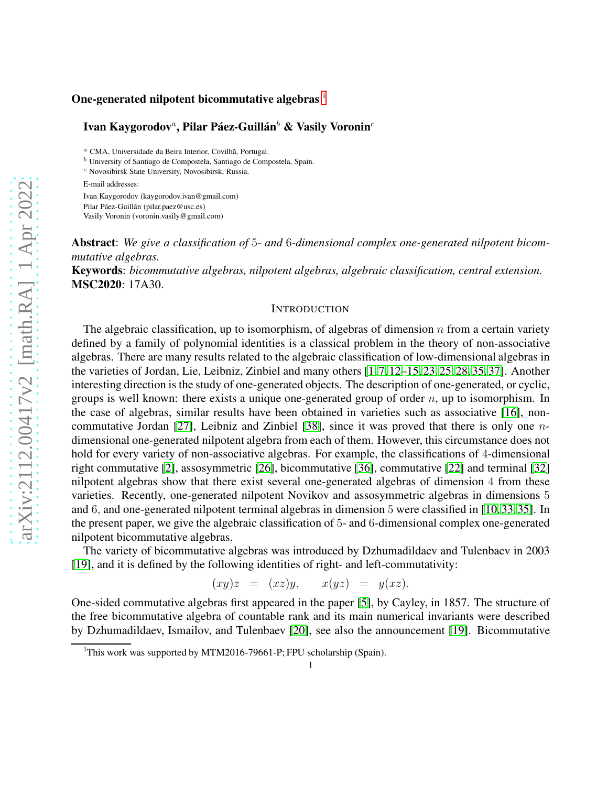#### One-generated nilpotent bicommutative algebras  $<sup>1</sup>$  $<sup>1</sup>$  $<sup>1</sup>$ </sup>

#### Ivan Kaygorodov ${}^a,$  Pilar Páez-Guillán ${}^b$  & Vasily Voronin ${}^c$

<sup>a</sup> CMA, Universidade da Beira Interior, Covilhã, Portugal.

 $\sp{b}$  University of Santiago de Compostela, S<br/>pain.<br>

<sup>c</sup> Novosibirsk State University, Novosibirsk, Russia.

E-mail addresses:

Ivan Kaygorodov (kaygorodov.ivan@gmail.com) Pilar Páez-Guillán (pilar.paez@usc.es) Vasily Voronin (voronin.vasily@gmail.com)

Abstract: *We give a classification of* 5*- and* 6*-dimensional complex one-generated nilpotent bicommutative algebras.*

Keywords: *bicommutative algebras, nilpotent algebras, algebraic classification, central extension.* MSC2020: 17A30.

#### **INTRODUCTION**

The algebraic classification, up to isomorphism, of algebras of dimension  $n$  from a certain variety defined by a family of polynomial identities is a classical problem in the theory of non-associative algebras. There are many results related to the algebraic classification of low-dimensional algebras in the varieties of Jordan, Lie, Leibniz, Zinbiel and many others [\[1,](#page-23-0) [7,](#page-23-1) [12–](#page-23-2)[15,](#page-23-3) [23,](#page-24-0) [25,](#page-24-1) [28,](#page-24-2) [35,](#page-24-3) [37\]](#page-24-4). Another interesting direction is the study of one-generated objects. The description of one-generated, or cyclic, groups is well known: there exists a unique one-generated group of order  $n$ , up to isomorphism. In the case of algebras, similar results have been obtained in varieties such as associative [\[16\]](#page-23-4), noncommutative Jordan [\[27\]](#page-24-5), Leibniz and Zinbiel [\[38\]](#page-24-6), since it was proved that there is only one ndimensional one-generated nilpotent algebra from each of them. However, this circumstance does not hold for every variety of non-associative algebras. For example, the classifications of 4-dimensional right commutative [\[2\]](#page-23-5), assosymmetric [\[26\]](#page-24-7), bicommutative [\[36\]](#page-24-8), commutative [\[22\]](#page-24-9) and terminal [\[32\]](#page-24-10) nilpotent algebras show that there exist several one-generated algebras of dimension 4 from these varieties. Recently, one-generated nilpotent Novikov and assosymmetric algebras in dimensions 5 and 6, and one-generated nilpotent terminal algebras in dimension 5 were classified in [\[10,](#page-23-6) [33,](#page-24-11) [35\]](#page-24-3). In the present paper, we give the algebraic classification of 5- and 6-dimensional complex one-generated nilpotent bicommutative algebras.

The variety of bicommutative algebras was introduced by Dzhumadildaev and Tulenbaev in 2003 [\[19\]](#page-24-12), and it is defined by the following identities of right- and left-commutativity:

$$
(xy)z = (xz)y, \qquad x(yz) = y(xz).
$$

One-sided commutative algebras first appeared in the paper [\[5\]](#page-23-7), by Cayley, in 1857. The structure of the free bicommutative algebra of countable rank and its main numerical invariants were described by Dzhumadildaev, Ismailov, and Tulenbaev [\[20\]](#page-24-13), see also the announcement [\[19\]](#page-24-12). Bicommutative

<span id="page-0-0"></span><sup>&</sup>lt;sup>1</sup>This work was supported by MTM2016-79661-P; FPU scholarship (Spain).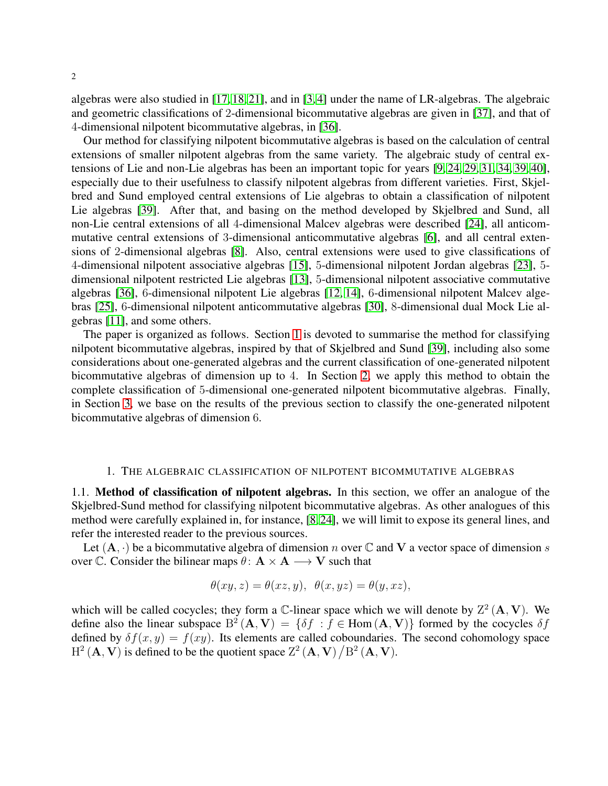algebras were also studied in [\[17,](#page-23-8) [18,](#page-23-9) [21\]](#page-24-14), and in [\[3,](#page-23-10) [4\]](#page-23-11) under the name of LR-algebras. The algebraic and geometric classifications of 2-dimensional bicommutative algebras are given in [\[37\]](#page-24-4), and that of 4-dimensional nilpotent bicommutative algebras, in [\[36\]](#page-24-8).

Our method for classifying nilpotent bicommutative algebras is based on the calculation of central extensions of smaller nilpotent algebras from the same variety. The algebraic study of central extensions of Lie and non-Lie algebras has been an important topic for years [\[9,](#page-23-12) [24,](#page-24-15) [29,](#page-24-16) [31,](#page-24-17) [34,](#page-24-18) [39,](#page-24-19) [40\]](#page-24-20), especially due to their usefulness to classify nilpotent algebras from different varieties. First, Skjelbred and Sund employed central extensions of Lie algebras to obtain a classification of nilpotent Lie algebras [\[39\]](#page-24-19). After that, and basing on the method developed by Skjelbred and Sund, all non-Lie central extensions of all 4-dimensional Malcev algebras were described [\[24\]](#page-24-15), all anticommutative central extensions of 3-dimensional anticommutative algebras [\[6\]](#page-23-13), and all central extensions of 2-dimensional algebras [\[8\]](#page-23-14). Also, central extensions were used to give classifications of 4-dimensional nilpotent associative algebras [\[15\]](#page-23-3), 5-dimensional nilpotent Jordan algebras [\[23\]](#page-24-0), 5 dimensional nilpotent restricted Lie algebras [\[13\]](#page-23-15), 5-dimensional nilpotent associative commutative algebras [\[36\]](#page-24-8), 6-dimensional nilpotent Lie algebras [\[12,](#page-23-2) [14\]](#page-23-16), 6-dimensional nilpotent Malcev algebras [\[25\]](#page-24-1), 6-dimensional nilpotent anticommutative algebras [\[30\]](#page-24-21), 8-dimensional dual Mock Lie algebras [\[11\]](#page-23-17), and some others.

The paper is organized as follows. Section [1](#page-1-0) is devoted to summarise the method for classifying nilpotent bicommutative algebras, inspired by that of Skjelbred and Sund [\[39\]](#page-24-19), including also some considerations about one-generated algebras and the current classification of one-generated nilpotent bicommutative algebras of dimension up to 4. In Section [2,](#page-4-0) we apply this method to obtain the complete classification of 5-dimensional one-generated nilpotent bicommutative algebras. Finally, in Section [3,](#page-11-0) we base on the results of the previous section to classify the one-generated nilpotent bicommutative algebras of dimension 6.

#### 1. THE ALGEBRAIC CLASSIFICATION OF NILPOTENT BICOMMUTATIVE ALGEBRAS

<span id="page-1-0"></span>1.1. Method of classification of nilpotent algebras. In this section, we offer an analogue of the Skjelbred-Sund method for classifying nilpotent bicommutative algebras. As other analogues of this method were carefully explained in, for instance, [\[8,](#page-23-14) [24\]](#page-24-15), we will limit to expose its general lines, and refer the interested reader to the previous sources.

Let  $(A, \cdot)$  be a bicommutative algebra of dimension n over  $\mathbb C$  and  $V$  a vector space of dimension s over C. Consider the bilinear maps  $\theta$ :  $A \times A \longrightarrow V$  such that

$$
\theta(xy, z) = \theta(xz, y), \ \theta(x, yz) = \theta(y, xz),
$$

which will be called cocycles; they form a  $\mathbb{C}$ -linear space which we will denote by  $\mathbb{Z}^2(\mathbf{A}, \mathbf{V})$ . We define also the linear subspace  $B^2(A, V) = \{ \delta f : f \in \text{Hom}(A, V) \}$  formed by the cocycles  $\delta f$ defined by  $\delta f(x, y) = f(xy)$ . Its elements are called coboundaries. The second cohomology space  $H^2(A, V)$  is defined to be the quotient space  $Z^2(A, V)/B^2(A, V)$ .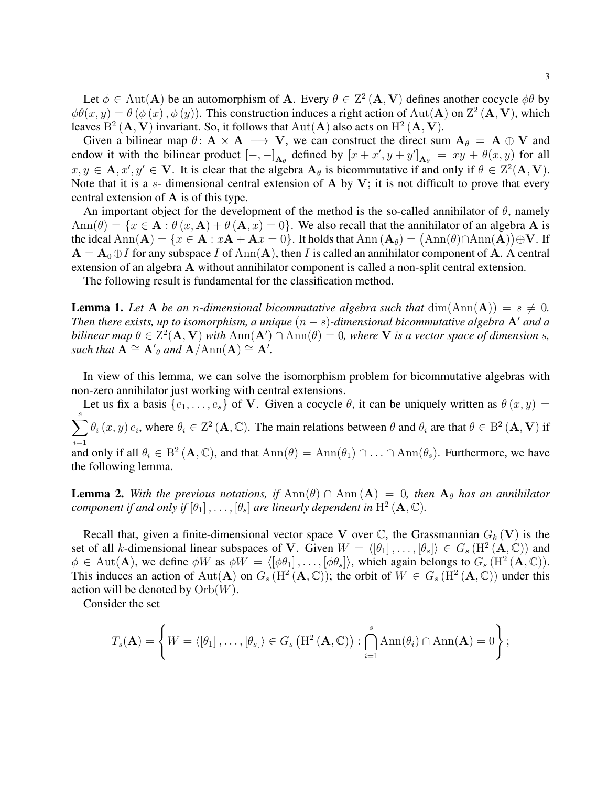Let  $\phi \in Aut(A)$  be an automorphism of A. Every  $\theta \in \mathbb{Z}^2(A, V)$  defines another cocycle  $\phi\theta$  by  $\phi\theta(x,y) = \theta(\phi(x), \phi(y))$ . This construction induces a right action of Aut(A) on Z<sup>2</sup> (A, V), which leaves  $B^2(A, V)$  invariant. So, it follows that  $Aut(A)$  also acts on  $H^2(A, V)$ .

Given a bilinear map  $\theta: A \times A \longrightarrow V$ , we can construct the direct sum  $A_{\theta} = A \oplus V$  and endow it with the bilinear product  $[-,-]_{A_{\theta}}$  defined by  $[x+x', y+y']_{A_{\theta}} = xy + \theta(x, y)$  for all  $x, y \in \mathbf{A}, x', y' \in \mathbf{V}$ . It is clear that the algebra  $\mathbf{A}_{\theta}$  is bicommutative if and only if  $\theta \in \mathbb{Z}^2(\mathbf{A}, \mathbf{V})$ . Note that it is a s- dimensional central extension of A by V; it is not difficult to prove that every central extension of A is of this type.

An important object for the development of the method is the so-called annihilator of  $\theta$ , namely  $\text{Ann}(\theta) = \{x \in \mathbf{A} : \theta(x, \mathbf{A}) + \theta(\mathbf{A}, x) = 0\}.$  We also recall that the annihilator of an algebra A is the ideal  ${\rm Ann}({\bf A})=\{x\in {\bf A}:x{\bf A}+{\bf A}x=0\}.$  It holds that  ${\rm Ann}({\bf A}_\theta)=\big({\rm Ann}(\theta)\cap{\rm Ann}(\tilde {\bf A})\big)\oplus {\bf V}.$  If  $A = A_0 \oplus I$  for any subspace I of Ann(A), then I is called an annihilator component of A. A central extension of an algebra A without annihilator component is called a non-split central extension.

<span id="page-2-0"></span>The following result is fundamental for the classification method.

**Lemma 1.** Let A be an *n*-dimensional bicommutative algebra such that  $\dim(\text{Ann}(A)) = s \neq 0$ . *Then there exists, up to isomorphism, a unique*  $(n - s)$ -dimensional bicommutative algebra  $A'$  and a *bilinear map*  $\theta \in \overline{Z}^2(\mathbf{A}, \mathbf{V})$  *with*  $\text{Ann}(\mathbf{A}') \cap \text{Ann}(\theta) = 0$ *, where* **V** *is a vector space of dimension s, such that*  $\mathbf{A} \cong \mathbf{A}'_{\theta}$  *and*  $\mathbf{A}/\text{Ann}(\mathbf{A}) \cong \mathbf{A}'$ *.* 

In view of this lemma, we can solve the isomorphism problem for bicommutative algebras with non-zero annihilator just working with central extensions.

Let us fix a basis  $\{e_1, \ldots, e_s\}$  of V. Given a cocycle  $\theta$ , it can be uniquely written as  $\theta(x, y) =$  $\sum_{i=1}^{s} \theta_i(x, y) e_i$ , where  $\theta_i \in \mathbb{Z}^2 (\mathbf{A}, \mathbb{C})$ . The main relations between  $\theta$  and  $\theta_i$  are that  $\theta \in \mathbb{B}^2 (\mathbf{A}, \mathbf{V})$  if  $i=1$ and only if all  $\theta_i \in B^2(\mathbf{A}, \mathbb{C})$ , and that  $\text{Ann}(\theta) = \text{Ann}(\theta_1) \cap \ldots \cap \text{Ann}(\theta_s)$ . Furthermore, we have the following lemma.

<span id="page-2-1"></span>**Lemma 2.** With the previous notations, if  $\text{Ann}(\theta) \cap \text{Ann}(\mathbf{A}) = 0$ , then  $\mathbf{A}_{\theta}$  has an annihilator *component if and only if*  $[\theta_1], \ldots, [\theta_s]$  *are linearly dependent in*  $H^2(\mathbf{A}, \mathbb{C})$ *.* 

Recall that, given a finite-dimensional vector space V over  $\mathbb C$ , the Grassmannian  $G_k(\mathbf V)$  is the set of all k-dimensional linear subspaces of V. Given  $W = \langle [\theta_1], \ldots, [\theta_s] \rangle \in G_s(H^2(\mathbf{A}, \mathbb{C}))$  and  $\phi \in \text{Aut}(\mathbf{A})$ , we define  $\phi W$  as  $\phi W = \langle [\phi \theta_1], \dots, [\phi \theta_s] \rangle$ , which again belongs to  $G_s(H^2(\mathbf{A}, \mathbb{C}))$ . This induces an action of Aut(A) on  $G_s(H^2(A, \mathbb{C}))$ ; the orbit of  $W \in G_s(H^2(A, \mathbb{C}))$  under this action will be denoted by  $Orb(W)$ .

Consider the set

$$
T_s(\mathbf{A}) = \left\{ W = \langle [\theta_1], \ldots, [\theta_s] \rangle \in G_s \left( \mathrm{H}^2 \left( \mathbf{A}, \mathbb{C} \right) \right) : \bigcap_{i=1}^s \mathrm{Ann}(\theta_i) \cap \mathrm{Ann}(\mathbf{A}) = 0 \right\};
$$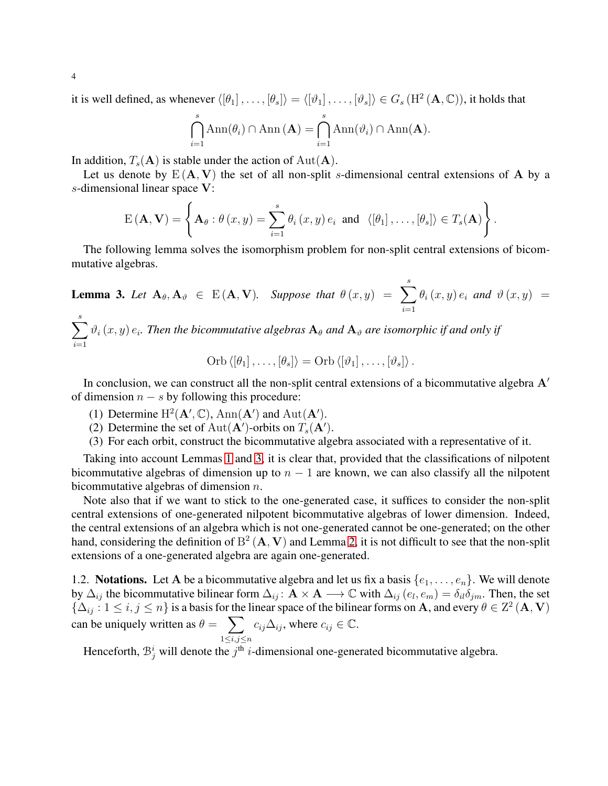it is well defined, as whenever  $\langle [\theta_1], \ldots, [\theta_s] \rangle = \langle [\vartheta_1], \ldots, [\vartheta_s] \rangle \in G_s(H^2(\mathbf{A}, \mathbb{C}))$ , it holds that

$$
\bigcap_{i=1}^s \text{Ann}(\theta_i) \cap \text{Ann}(\mathbf{A}) = \bigcap_{i=1}^s \text{Ann}(\vartheta_i) \cap \text{Ann}(\mathbf{A}).
$$

In addition,  $T_s(A)$  is stable under the action of Aut(A).

Let us denote by  $E(A, V)$  the set of all non-split s-dimensional central extensions of A by a s-dimensional linear space V:

$$
E(\mathbf{A}, \mathbf{V}) = \left\{ \mathbf{A}_{\theta} : \theta(x, y) = \sum_{i=1}^{s} \theta_{i}(x, y) e_{i} \text{ and } \langle [\theta_{1}], \ldots, [\theta_{s}] \rangle \in T_{s}(\mathbf{A}) \right\}.
$$

<span id="page-3-0"></span>The following lemma solves the isomorphism problem for non-split central extensions of bicommutative algebras.

**Lemma 3.** Let  $A_{\theta}, A_{\vartheta} \in E(A, V)$ . Suppose that  $\theta(x, y) = \sum_{i=1}^{s}$  $i=1$  $\theta_i(x, y) e_i$  and  $\vartheta(x, y) =$ 

 $\sum^s$  $i=1$  $\vartheta_i(x, y)$   $e_i$ . Then the bicommutative algebras  $\mathbf{A}_{\theta}$  and  $\mathbf{A}_{\vartheta}$  are isomorphic if and only if

Orb 
$$
\langle [\theta_1], \ldots, [\theta_s] \rangle =
$$
Orb  $\langle [\vartheta_1], \ldots, [\vartheta_s] \rangle$ .

In conclusion, we can construct all the non-split central extensions of a bicommutative algebra  $A'$ of dimension  $n - s$  by following this procedure:

- (1) Determine  $H^2(\mathbf{A}', \mathbb{C})$ , Ann $(\mathbf{A}')$  and Aut $(\mathbf{A}')$ .
- (2) Determine the set of Aut( $\mathbf{A}'$ )-orbits on  $T_s(\mathbf{A}')$ .
- (3) For each orbit, construct the bicommutative algebra associated with a representative of it.

Taking into account Lemmas [1](#page-2-0) and [3,](#page-3-0) it is clear that, provided that the classifications of nilpotent bicommutative algebras of dimension up to  $n - 1$  are known, we can also classify all the nilpotent bicommutative algebras of dimension  $n$ .

Note also that if we want to stick to the one-generated case, it suffices to consider the non-split central extensions of one-generated nilpotent bicommutative algebras of lower dimension. Indeed, the central extensions of an algebra which is not one-generated cannot be one-generated; on the other hand, considering the definition of  $B^2(A, V)$  and Lemma [2,](#page-2-1) it is not difficult to see that the non-split extensions of a one-generated algebra are again one-generated.

1.2. **Notations.** Let A be a bicommutative algebra and let us fix a basis  $\{e_1, \ldots, e_n\}$ . We will denote by  $\Delta_{ij}$  the bicommutative bilinear form  $\Delta_{ij}$ :  $\mathbf{A} \times \mathbf{A} \longrightarrow \mathbb{C}$  with  $\Delta_{ij}$   $(e_i, e_m) = \delta_{il} \delta_{jm}$ . Then, the set  $\{\Delta_{ij}: 1 \le i, j \le n\}$  is a basis for the linear space of the bilinear forms on A, and every  $\theta \in \mathbb{Z}^2(\mathbf{A}, \mathbf{V})$ can be uniquely written as  $\theta = \sum$  $1\leq i,j\leq n$  $c_{ij}\Delta_{ij}$ , where  $c_{ij}\in\mathbb{C}$ .

Henceforth,  $\mathcal{B}_j^i$  will denote the  $j^{\text{th}}$  *i*-dimensional one-generated bicommutative algebra.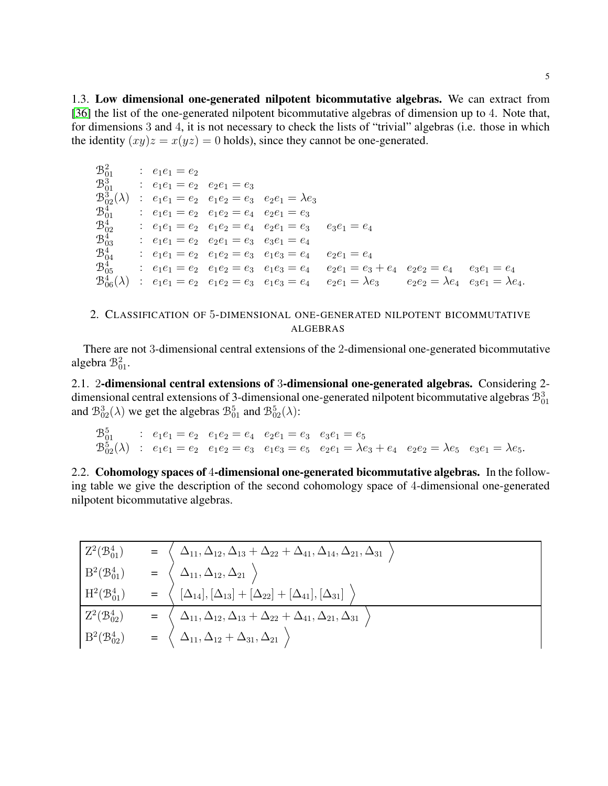1.3. Low dimensional one-generated nilpotent bicommutative algebras. We can extract from [36] the list of the one-generated nilpotent bicommutative algebras of dimension up to 4. Note that, for dimensions 3 and 4, it is not necessary to check the lists of "trivial" algebras (i.e. those in which the identity  $(xy)z = x(yz) = 0$  holds), since they cannot be one-generated.

| $\mathcal{B}^2_{01}$ | $e_1e_1 = e_2$                      |                                                        |                                                                                      |                                                                                                     |                                                 |                |
|----------------------|-------------------------------------|--------------------------------------------------------|--------------------------------------------------------------------------------------|-----------------------------------------------------------------------------------------------------|-------------------------------------------------|----------------|
| $\mathcal{B}^3_{01}$ | : $e_1e_1 = e_2 \quad e_2e_1 = e_3$ |                                                        |                                                                                      |                                                                                                     |                                                 |                |
|                      |                                     |                                                        | $\mathcal{B}_{02}^3(\lambda)$ : $e_1e_1 = e_2$ $e_1e_2 = e_3$ $e_2e_1 = \lambda e_3$ |                                                                                                     |                                                 |                |
| $\mathcal{B}^4_{01}$ |                                     | : $e_1e_1 = e_2 \quad e_1e_2 = e_4 \quad e_2e_1 = e_3$ |                                                                                      |                                                                                                     |                                                 |                |
| $\mathcal{B}^4_{02}$ |                                     |                                                        | $e_1e_1 = e_2 \quad e_1e_2 = e_4 \quad e_2e_1 = e_3 \quad e_3e_1 = e_4$              |                                                                                                     |                                                 |                |
| $\mathcal{B}^4_{03}$ |                                     | $e_1e_1 = e_2 \quad e_2e_1 = e_3 \quad e_3e_1 = e_4$   |                                                                                      |                                                                                                     |                                                 |                |
| $\mathcal{B}_{04}^4$ |                                     |                                                        | : $e_1e_1 = e_2 \quad e_1e_2 = e_3 \quad e_1e_3 = e_4$                               | $e_2e_1 = e_4$                                                                                      |                                                 |                |
| $\mathcal{B}^4_{05}$ |                                     |                                                        |                                                                                      | : $e_1e_1 = e_2$ $e_1e_2 = e_3$ $e_1e_3 = e_4$ $e_2e_1 = e_3 + e_4$ $e_2e_2 = e_4$                  |                                                 | $e_3e_1 = e_4$ |
|                      |                                     |                                                        |                                                                                      | $\mathcal{B}_{06}^4(\lambda)$ : $e_1e_1 = e_2$ $e_1e_2 = e_3$ $e_1e_3 = e_4$ $e_2e_1 = \lambda e_3$ | $e_2e_2 = \lambda e_4$ $e_3e_1 = \lambda e_4$ . |                |

<span id="page-4-0"></span>2. CLASSIFICATION OF 5-DIMENSIONAL ONE-GENERATED NILPOTENT BICOMMUTATIVE **ALGEBRAS** 

There are not 3-dimensional central extensions of the 2-dimensional one-generated bicommutative algebra  $\mathcal{B}_{01}^2$ .

2.1. 2-dimensional central extensions of 3-dimensional one-generated algebras. Considering 2dimensional central extensions of 3-dimensional one-generated nilpotent bicommutative algebras  $\mathcal{B}_{01}^3$ and  $\mathcal{B}_{02}^3(\lambda)$  we get the algebras  $\mathcal{B}_{01}^5$  and  $\mathcal{B}_{02}^5(\lambda)$ :

 $\mathcal{B}_{01}^5$  :  $e_1e_1 = e_2$   $e_1e_2 = e_4$   $e_2e_1 = e_3$   $e_3e_1 = e_5$ <br>  $\mathcal{B}_{02}^5(\lambda)$  :  $e_1e_1 = e_2$   $e_1e_2 = e_3$   $e_1e_3 = e_5$   $e_2e_1 = \lambda e_3 + e_4$   $e_2e_2 = \lambda e_5$   $e_3e_1 = \lambda e_5$ .

2.2. Cohomology spaces of 4-dimensional one-generated bicommutative algebras. In the following table we give the description of the second cohomology space of 4-dimensional one-generated nilpotent bicommutative algebras.

| $Z^2(\mathcal{B}^4_{01})$ | $\Delta_{11}, \Delta_{12}, \Delta_{13} + \Delta_{22} + \Delta_{41}, \Delta_{14}, \Delta_{21}, \Delta_{31}$ |
|---------------------------|------------------------------------------------------------------------------------------------------------|
| $B^2(\mathcal{B}^4_{01})$ | $\Delta_{11}, \Delta_{12}, \Delta_{21}$                                                                    |
| $H^2(\mathcal{B}^4_{01})$ | $[\Delta_{14}], [\Delta_{13}]+ [\Delta_{22}]+ [\Delta_{41}], [\Delta_{31}]$                                |
| $Z^2(\mathcal{B}_{02}^4)$ | $\Delta_{11}, \Delta_{12}, \Delta_{13}+\Delta_{22}+\Delta_{41}, \Delta_{21}, \Delta_{31}$                  |
| $B^2(\mathcal{B}^4_{02})$ | $=\begin{pmatrix}\Delta_{11},\Delta_{12}+\Delta_{31},\Delta_{21}\end{pmatrix}$                             |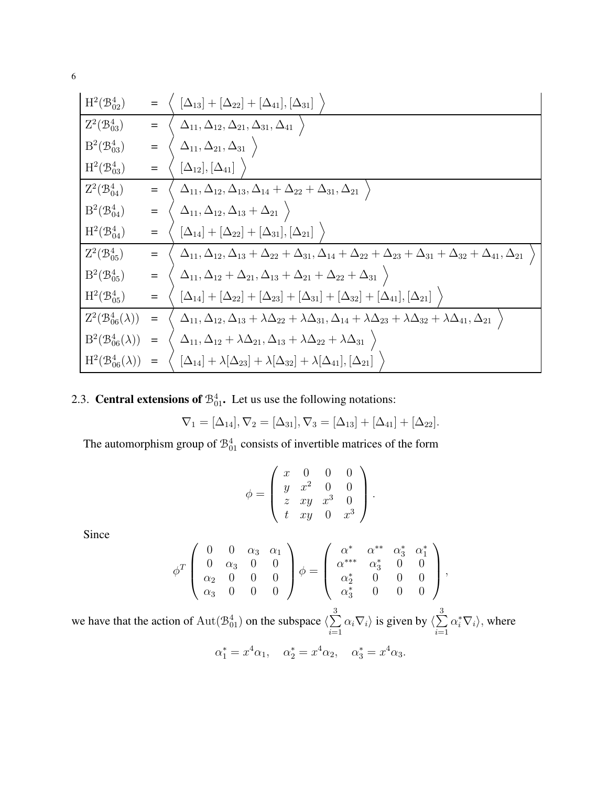6

$$
\begin{array}{llll}\n\text{H}^{2}(\mathcal{B}_{02}^{4}) & = & \left\{\begin{array}{l} [\Delta_{13}] + [\Delta_{22}] + [\Delta_{41}], [\Delta_{31}] \end{array}\right\} \\
\hline\nZ^{2}(\mathcal{B}_{03}^{4}) & = & \left\{\begin{array}{l} \Delta_{11}, \Delta_{12}, \Delta_{21}, \Delta_{31}, \Delta_{41} \end{array}\right\} \\
\text{H}^{2}(\mathcal{B}_{03}^{4}) & = & \left\{\begin{array}{l} \Delta_{11}, \Delta_{21}, \Delta_{31} \end{array}\right\} \\
\hline\nZ^{2}(\mathcal{B}_{04}^{4}) & = & \left\{\begin{array}{l} [\Delta_{12}], [\Delta_{41}] \end{array}\right\} \\
\hline\nZ^{2}(\mathcal{B}_{04}^{4}) & = & \left\{\begin{array}{l} \Delta_{11}, \Delta_{12}, \Delta_{13}, \Delta_{14} + \Delta_{22} + \Delta_{31}, \Delta_{21} \end{array}\right\} \\
\text{H}^{2}(\mathcal{B}_{04}^{4}) & = & \left\{\begin{array}{l} \Delta_{11}, \Delta_{12}, \Delta_{13} + \Delta_{21} \end{array}\right\} \\
\hline\nZ^{2}(\mathcal{B}_{05}^{4}) & = & \left\{\begin{array}{l} [\Delta_{14}] + [\Delta_{22}] + [\Delta_{31}], [\Delta_{21}] \end{array}\right\} \\
\hline\nZ^{2}(\mathcal{B}_{05}^{4}) & = & \left\{\begin{array}{l} \Delta_{11}, \Delta_{12}, \Delta_{13} + \Delta_{22} + \Delta_{31}, \Delta_{14} + \Delta_{22} + \Delta_{23} + \Delta_{31} + \Delta_{32} + \Delta_{41}, \Delta_{21} \end{array}\right\} \\
\hline\nH^{2}(\mathcal{B}_{05}^{4}) & = & \left\{\begin{array}{l} \Delta_{11}, \Delta_{12} + \Delta_{21}, \Delta_{13} + \Delta_{21} + \Delta_{22} + \Delta_{31} \end{array}\right\} \\
\hline\nH^{2}(\mathcal{B}_{05}^{4}) & = & \left\{\begin{array}{l} [\Delta_{14}] + [\Delta_{22}] + [\Delta_{23}] + [\Delta_{31}] + [\Delta_{32}]
$$

2.3. **Central extensions of**  $\mathcal{B}_{01}^4$ . Let us use the following notations:

$$
\nabla_1 = [\Delta_{14}], \nabla_2 = [\Delta_{31}], \nabla_3 = [\Delta_{13}] + [\Delta_{41}] + [\Delta_{22}].
$$

The automorphism group of  $\mathcal{B}_{01}^4$  consists of invertible matrices of the form

$$
\phi = \left( \begin{array}{cccc} x & 0 & 0 & 0 \\ y & x^2 & 0 & 0 \\ z & xy & x^3 & 0 \\ t & xy & 0 & x^3 \end{array} \right).
$$

Since

$$
\phi^T \left( \begin{array}{cccc} 0 & 0 & \alpha_3 & \alpha_1 \\ 0 & \alpha_3 & 0 & 0 \\ \alpha_2 & 0 & 0 & 0 \\ \alpha_3 & 0 & 0 & 0 \end{array} \right) \phi = \left( \begin{array}{cccc} \alpha^* & \alpha^{**} & \alpha_3^* & \alpha_1^* \\ \alpha^{***} & \alpha_3^* & 0 & 0 \\ \alpha_2^* & 0 & 0 & 0 \\ \alpha_3^* & 0 & 0 & 0 \end{array} \right),
$$

we have that the action of  $\text{Aut}(\mathcal{B}^4_{01})$  on the subspace  $\langle \sum_{n=1}^\infty$ 3  $i=1$  $\alpha_i \nabla_i$  is given by  $\langle \sum \rangle$ 3  $i=1$  $\alpha_i^* \nabla_i$ , where

$$
\alpha_1^* = x^4 \alpha_1, \quad \alpha_2^* = x^4 \alpha_2, \quad \alpha_3^* = x^4 \alpha_3.
$$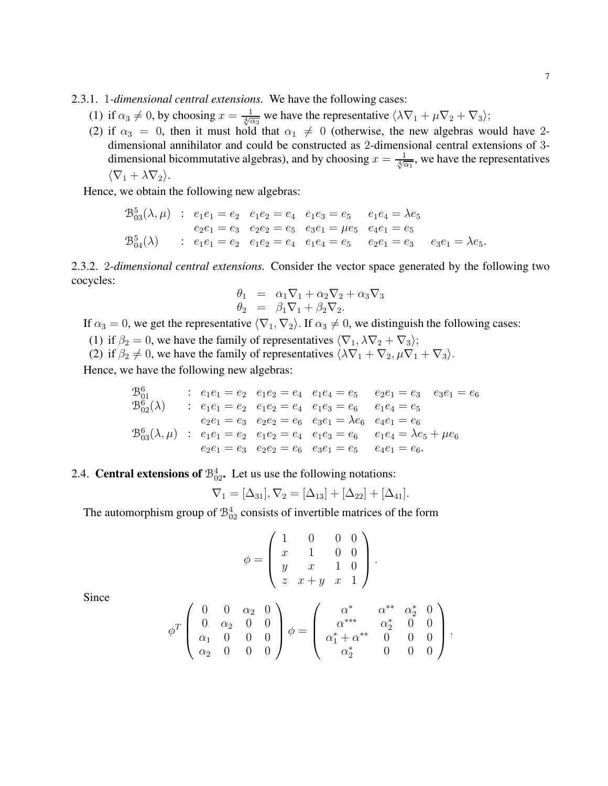2.3.1. 1*-dimensional central extensions.* We have the following cases:

- (1) if  $\alpha_3 \neq 0$ , by choosing  $x = \frac{1}{\sqrt[4]{\alpha_3}}$  we have the representative  $\langle \lambda \nabla_1 + \mu \nabla_2 + \nabla_3 \rangle$ ;
- (2) if  $\alpha_3 = 0$ , then it must hold that  $\alpha_1 \neq 0$  (otherwise, the new algebras would have 2dimensional annihilator and could be constructed as 2-dimensional central extensions of 3 dimensional bicommutative algebras), and by choosing  $x = \frac{1}{\sqrt[4]{\alpha_1}}$ , we have the representatives  $\langle \nabla_1 + \lambda \nabla_2 \rangle$ .

Hence, we obtain the following new algebras:

$$
\mathcal{B}_{03}^{5}(\lambda,\mu) : e_1e_1 = e_2 \quad e_1e_2 = e_4 \quad e_1e_3 = e_5 \quad e_1e_4 = \lambda e_5
$$
\n
$$
e_2e_1 = e_3 \quad e_2e_2 = e_5 \quad e_3e_1 = \mu e_5 \quad e_4e_1 = e_5
$$
\n
$$
\mathcal{B}_{04}^{5}(\lambda) : e_1e_1 = e_2 \quad e_1e_2 = e_4 \quad e_1e_4 = e_5 \quad e_2e_1 = e_3 \quad e_3e_1 = \lambda e_5.
$$

2.3.2. 2*-dimensional central extensions.* Consider the vector space generated by the following two cocycles:

$$
\begin{array}{rcl}\n\theta_1 &=& \alpha_1 \nabla_1 + \alpha_2 \nabla_2 + \alpha_3 \nabla_3 \\
\theta_2 &=& \beta_1 \nabla_1 + \beta_2 \nabla_2.\n\end{array}
$$

If  $\alpha_3 = 0$ , we get the representative  $\langle \nabla_1, \nabla_2 \rangle$ . If  $\alpha_3 \neq 0$ , we distinguish the following cases:

(1) if  $\beta_2 = 0$ , we have the family of representatives  $\langle \nabla_1, \lambda \nabla_2 + \nabla_3 \rangle$ ;

(2) if  $\beta_2 \neq 0$ , we have the family of representatives  $\langle \lambda \nabla_1 + \nabla_2, \mu \nabla_1 + \nabla_3 \rangle$ .

Hence, we have the following new algebras:

$$
\begin{array}{llllll}\n\mathfrak{B}^6_{01} & : & e_1e_1 = e_2 & e_1e_2 = e_4 & e_1e_4 = e_5 & e_2e_1 = e_3 & e_3e_1 = e_6 \\
\mathfrak{B}^6_{02}(\lambda) & : & e_1e_1 = e_2 & e_1e_2 = e_4 & e_1e_3 = e_6 & e_1e_4 = e_5 \\
& e_2e_1 = e_3 & e_2e_2 = e_6 & e_3e_1 = \lambda e_6 & e_4e_1 = e_6 \\
\mathfrak{B}^6_{03}(\lambda, \mu) & : & e_1e_1 = e_2 & e_1e_2 = e_4 & e_1e_3 = e_6 & e_1e_4 = \lambda e_5 + \mu e_6 \\
& e_2e_1 = e_3 & e_2e_2 = e_6 & e_3e_1 = e_5 & e_4e_1 = e_6.\n\end{array}
$$

## 2.4. **Central extensions of**  $\mathcal{B}_{02}^4$ . Let us use the following notations:

$$
\nabla_1 = [\Delta_{31}], \nabla_2 = [\Delta_{13}] + [\Delta_{22}] + [\Delta_{41}].
$$

The automorphism group of  $\mathcal{B}_{02}^4$  consists of invertible matrices of the form

$$
\phi = \left( \begin{array}{cccc} 1 & 0 & 0 & 0 \\ x & 1 & 0 & 0 \\ y & x & 1 & 0 \\ z & x + y & x & 1 \end{array} \right).
$$

Since

$$
\phi^T \left( \begin{array}{cccc} 0 & 0 & \alpha_2 & 0 \\ 0 & \alpha_2 & 0 & 0 \\ \alpha_1 & 0 & 0 & 0 \\ \alpha_2 & 0 & 0 & 0 \end{array} \right) \phi = \left( \begin{array}{cccc} \alpha^* & \alpha^{**} & \alpha_2^* & 0 \\ \alpha^{***} & \alpha_2^* & 0 & 0 \\ \alpha_1^* + \alpha^{**} & 0 & 0 & 0 \\ \alpha_2^* & 0 & 0 & 0 \end{array} \right),
$$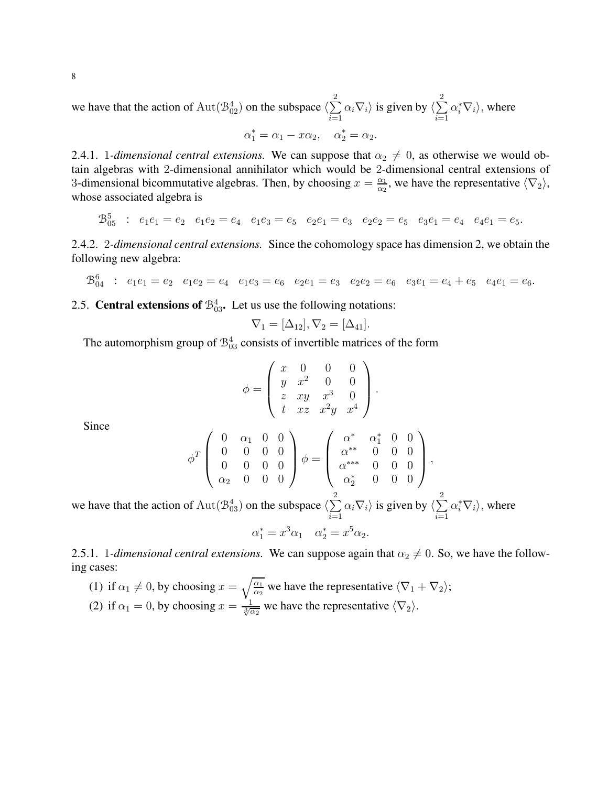we have that the action of  $\text{Aut}(\mathcal{B}^4_{02})$  on the subspace  $\langle \sum_{n=1}^\infty$ 2  $i=1$  $\alpha_i \nabla_i$  is given by  $\langle \sum \rangle$ 2  $i=1$  $\alpha_i^* \nabla_i$ , where

$$
\alpha_1^* = \alpha_1 - x\alpha_2, \quad \alpha_2^* = \alpha_2.
$$

2.4.1. 1*-dimensional central extensions*. We can suppose that  $\alpha_2 \neq 0$ , as otherwise we would obtain algebras with 2-dimensional annihilator which would be 2-dimensional central extensions of 3-dimensional bicommutative algebras. Then, by choosing  $x = \frac{\alpha_1}{\alpha_2}$  $\frac{\alpha_1}{\alpha_2}$ , we have the representative  $\langle \nabla_2 \rangle$ , whose associated algebra is

$$
\mathfrak{B}^5_{05} : e_1e_1 = e_2 \quad e_1e_2 = e_4 \quad e_1e_3 = e_5 \quad e_2e_1 = e_3 \quad e_2e_2 = e_5 \quad e_3e_1 = e_4 \quad e_4e_1 = e_5.
$$

2.4.2. 2*-dimensional central extensions.* Since the cohomology space has dimension 2, we obtain the following new algebra:

$$
\mathfrak{B}^6_{04} : e_1e_1 = e_2 \quad e_1e_2 = e_4 \quad e_1e_3 = e_6 \quad e_2e_1 = e_3 \quad e_2e_2 = e_6 \quad e_3e_1 = e_4 + e_5 \quad e_4e_1 = e_6.
$$

2.5. **Central extensions of**  $\mathcal{B}_{03}^4$ . Let us use the following notations:

$$
\nabla_1 = [\Delta_{12}], \nabla_2 = [\Delta_{41}].
$$

The automorphism group of  $\mathcal{B}_{03}^4$  consists of invertible matrices of the form

$$
\phi = \begin{pmatrix} x & 0 & 0 & 0 \\ y & x^2 & 0 & 0 \\ z & xy & x^3 & 0 \\ t & xz & x^2y & x^4 \end{pmatrix}.
$$

Since

$$
\phi^T\left(\begin{array}{cccc} 0 & \alpha_1 & 0 & 0 \\ 0 & 0 & 0 & 0 \\ 0 & 0 & 0 & 0 \\ \alpha_2 & 0 & 0 & 0 \end{array}\right)\phi = \left(\begin{array}{cccc} \alpha^* & \alpha_1^* & 0 & 0 \\ \alpha^{**} & 0 & 0 & 0 \\ \alpha^{***} & 0 & 0 & 0 \\ \alpha_2^* & 0 & 0 & 0 \end{array}\right),
$$

we have that the action of  $\text{Aut}(\mathcal{B}^4_{03})$  on the subspace  $\langle \sum_{n=1}^\infty$ 2  $i=1$  $\alpha_i \nabla_i$  is given by  $\langle \sum \rangle$ 2  $i=1$  $\alpha_i^* \nabla_i$ , where

$$
\alpha_1^* = x^3 \alpha_1 \quad \alpha_2^* = x^5 \alpha_2.
$$

2.5.1. 1*-dimensional central extensions.* We can suppose again that  $\alpha_2 \neq 0$ . So, we have the following cases:

\n- (1) if 
$$
\alpha_1 \neq 0
$$
, by choosing  $x = \sqrt{\frac{\alpha_1}{\alpha_2}}$  we have the representative  $\langle \nabla_1 + \nabla_2 \rangle$ ;
\n- (2) if  $\alpha_1 = 0$ , by choosing  $x = \frac{1}{\sqrt[3]{\alpha_2}}$  we have the representative  $\langle \nabla_2 \rangle$ .
\n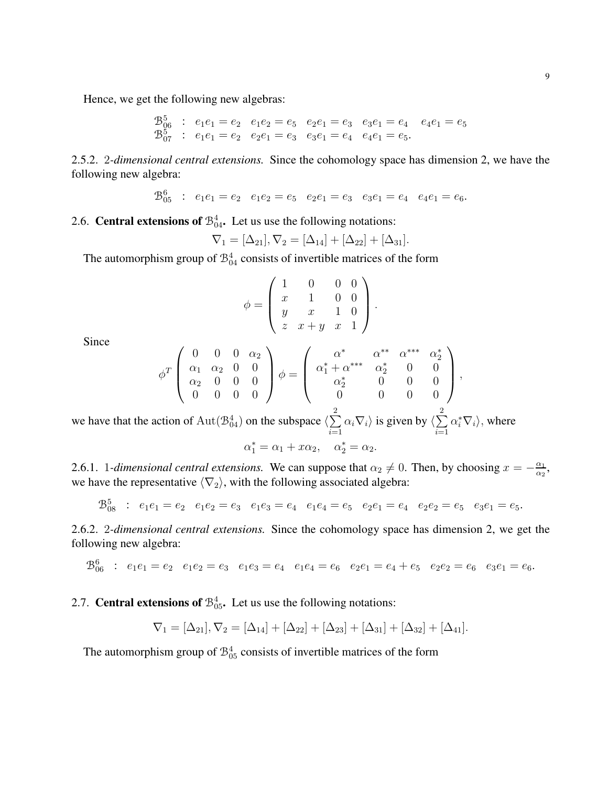Hence, we get the following new algebras:

$$
\begin{array}{ccccccccc}\n\mathfrak{B}^5_{06} & : & e_1e_1 = e_2 & e_1e_2 = e_5 & e_2e_1 = e_3 & e_3e_1 = e_4 & e_4e_1 = e_5 \\
\mathfrak{B}^5_{07} & : & e_1e_1 = e_2 & e_2e_1 = e_3 & e_3e_1 = e_4 & e_4e_1 = e_5.\n\end{array}
$$

2.5.2. 2*-dimensional central extensions.* Since the cohomology space has dimension 2, we have the following new algebra:

$$
\mathfrak{B}^6_{05} : e_1e_1 = e_2 \quad e_1e_2 = e_5 \quad e_2e_1 = e_3 \quad e_3e_1 = e_4 \quad e_4e_1 = e_6.
$$

## 2.6. **Central extensions of**  $\mathcal{B}_{04}^4$ . Let us use the following notations:

$$
\nabla_1 = [\Delta_{21}], \nabla_2 = [\Delta_{14}] + [\Delta_{22}] + [\Delta_{31}].
$$

The automorphism group of  $\mathcal{B}_{04}^4$  consists of invertible matrices of the form

$$
\phi = \left( \begin{array}{rrrr} 1 & 0 & 0 & 0 \\ x & 1 & 0 & 0 \\ y & x & 1 & 0 \\ z & x + y & x & 1 \end{array} \right).
$$

Since

$$
\phi^T \left( \begin{array}{cccc} 0 & 0 & 0 & \alpha_2 \\ \alpha_1 & \alpha_2 & 0 & 0 \\ \alpha_2 & 0 & 0 & 0 \\ 0 & 0 & 0 & 0 \end{array} \right) \phi = \left( \begin{array}{cccc} \alpha^* & \alpha^{**} & \alpha^{***} & \alpha_2^* \\ \alpha_1^* + \alpha^{***} & \alpha_2^* & 0 & 0 \\ \alpha_2^* & 0 & 0 & 0 \\ 0 & 0 & 0 & 0 \end{array} \right),
$$

we have that the action of  $\text{Aut}(\mathcal{B}^4_{04})$  on the subspace  $\langle \sum_{n=1}^\infty$ 2  $i=1$  $\alpha_i \nabla_i$  is given by  $\langle \sum \rangle$ 2  $i=1$  $\alpha_i^* \nabla_i$ , where

$$
\alpha_1^* = \alpha_1 + x\alpha_2, \quad \alpha_2^* = \alpha_2.
$$

2.6.1. 1*-dimensional central extensions*. We can suppose that  $\alpha_2 \neq 0$ . Then, by choosing  $x = -\frac{\alpha_1}{\alpha_2}$  $\frac{\alpha_1}{\alpha_2}$ we have the representative  $\langle \nabla_2 \rangle$ , with the following associated algebra:

$$
\mathcal{B}_{08}^5 : e_1e_1 = e_2 \quad e_1e_2 = e_3 \quad e_1e_3 = e_4 \quad e_1e_4 = e_5 \quad e_2e_1 = e_4 \quad e_2e_2 = e_5 \quad e_3e_1 = e_5.
$$

2.6.2. 2*-dimensional central extensions.* Since the cohomology space has dimension 2, we get the following new algebra:

$$
\mathcal{B}_{06}^6 : e_1e_1 = e_2 \quad e_1e_2 = e_3 \quad e_1e_3 = e_4 \quad e_1e_4 = e_6 \quad e_2e_1 = e_4 + e_5 \quad e_2e_2 = e_6 \quad e_3e_1 = e_6.
$$

## 2.7. **Central extensions of**  $\mathcal{B}_{05}^4$ . Let us use the following notations:

$$
\nabla_1 = [\Delta_{21}], \nabla_2 = [\Delta_{14}] + [\Delta_{22}] + [\Delta_{23}] + [\Delta_{31}] + [\Delta_{32}] + [\Delta_{41}].
$$

The automorphism group of  $\mathcal{B}^4_{05}$  consists of invertible matrices of the form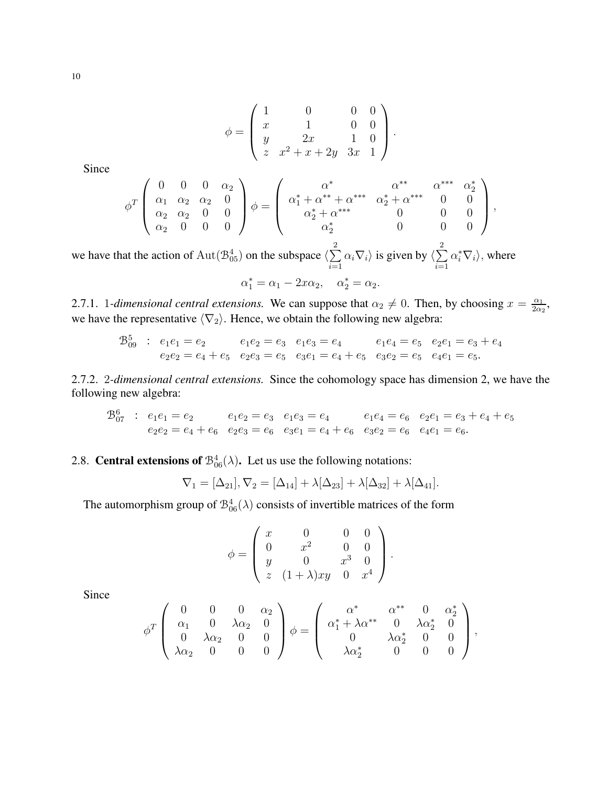$$
\phi = \begin{pmatrix} 1 & 0 & 0 & 0 \\ x & 1 & 0 & 0 \\ y & 2x & 1 & 0 \\ z & x^2 + x + 2y & 3x & 1 \end{pmatrix}.
$$

Since

$$
\phi^T \begin{pmatrix} 0 & 0 & 0 & \alpha_2 \\ \alpha_1 & \alpha_2 & \alpha_2 & 0 \\ \alpha_2 & \alpha_2 & 0 & 0 \\ \alpha_2 & 0 & 0 & 0 \end{pmatrix} \phi = \begin{pmatrix} \alpha^* & \alpha^{**} & \alpha^{***} & \alpha_2^{**} \\ \alpha_1^* + \alpha^{**} + \alpha^{***} & \alpha_2^* + \alpha^{***} & 0 & 0 \\ \alpha_2^* + \alpha^{***} & 0 & 0 & 0 \\ \alpha_2^* & 0 & 0 & 0 \end{pmatrix},
$$

we have that the action of  $\text{Aut}(\mathcal{B}_{05}^4)$  on the subspace  $\langle \sum_{n=1}^{\infty}$ 2  $i=1$  $\alpha_i \nabla_i$  is given by  $\langle \sum \rangle$ 2  $i=1$  $\alpha_i^* \nabla_i$ , where

$$
\alpha_1^* = \alpha_1 - 2x\alpha_2, \quad \alpha_2^* = \alpha_2.
$$

2.7.1. 1-dimensional central extensions. We can suppose that  $\alpha_2 \neq 0$ . Then, by choosing  $x = \frac{\alpha_1}{2\alpha_1}$  $\frac{\alpha_1}{2\alpha_2}$ we have the representative  $\langle \nabla_2 \rangle$ . Hence, we obtain the following new algebra:

$$
\mathcal{B}_{09}^5 : e_1e_1 = e_2 \qquad e_1e_2 = e_3 \quad e_1e_3 = e_4 \qquad e_1e_4 = e_5 \quad e_2e_1 = e_3 + e_4
$$
  

$$
e_2e_2 = e_4 + e_5 \quad e_2e_3 = e_5 \quad e_3e_1 = e_4 + e_5 \quad e_3e_2 = e_5 \quad e_4e_1 = e_5.
$$

2.7.2. 2*-dimensional central extensions.* Since the cohomology space has dimension 2, we have the following new algebra:

$$
\begin{array}{ccccccccc}\n\mathfrak{B}^6_{07} & : & e_1e_1 = e_2 & e_1e_2 = e_3 & e_1e_3 = e_4 & e_1e_4 = e_6 & e_2e_1 = e_3 + e_4 + e_5 \\
& e_2e_2 = e_4 + e_6 & e_2e_3 = e_6 & e_3e_1 = e_4 + e_6 & e_3e_2 = e_6 & e_4e_1 = e_6.\n\end{array}
$$

## 2.8. **Central extensions of**  $\mathcal{B}_{06}^4(\lambda)$ . Let us use the following notations:

$$
\nabla_1 = [\Delta_{21}], \nabla_2 = [\Delta_{14}] + \lambda [\Delta_{23}] + \lambda [\Delta_{32}] + \lambda [\Delta_{41}].
$$

The automorphism group of  $\mathcal{B}^4_{06}(\lambda)$  consists of invertible matrices of the form

$$
\phi = \begin{pmatrix} x & 0 & 0 & 0 \\ 0 & x^2 & 0 & 0 \\ y & 0 & x^3 & 0 \\ z & (1+\lambda)xy & 0 & x^4 \end{pmatrix}.
$$

Since

$$
\phi^T \left( \begin{array}{cccc} 0 & 0 & 0 & \alpha_2 \\ \alpha_1 & 0 & \lambda \alpha_2 & 0 \\ 0 & \lambda \alpha_2 & 0 & 0 \\ \lambda \alpha_2 & 0 & 0 & 0 \end{array} \right) \phi = \left( \begin{array}{cccc} \alpha^* & \alpha^{**} & 0 & \alpha_2^* \\ \alpha_1^* + \lambda \alpha^{**} & 0 & \lambda \alpha_2^* & 0 \\ 0 & \lambda \alpha_2^* & 0 & 0 \\ \lambda \alpha_2^* & 0 & 0 & 0 \end{array} \right),
$$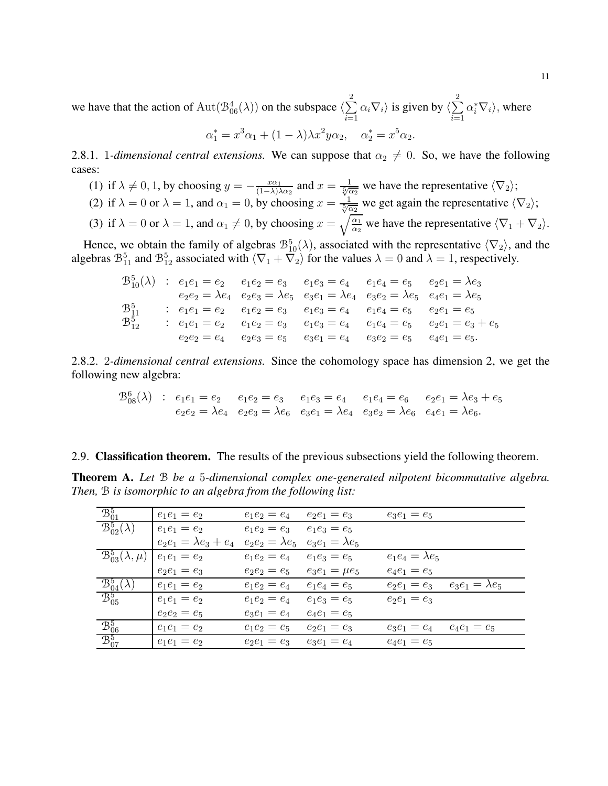we have that the action of  $\text{Aut}(\mathcal{B}^4_{06}(\lambda))$  on the subspace  $\langle \sum_{n=1}^{\infty}$ 2  $i=1$  $\alpha_i \nabla_i$  is given by  $\langle \sum \rangle$ 2  $i=1$  $\alpha_i^* \nabla_i$ , where

$$
\alpha_1^* = x^3 \alpha_1 + (1 - \lambda) \lambda x^2 y \alpha_2, \quad \alpha_2^* = x^5 \alpha_2.
$$

2.8.1. 1*-dimensional central extensions*. We can suppose that  $\alpha_2 \neq 0$ . So, we have the following cases:

- (1) if  $\lambda \neq 0, 1$ , by choosing  $y = -\frac{x\alpha_1}{(1-\lambda)}$  $\frac{x\alpha_1}{(1-\lambda)\lambda\alpha_2}$  and  $x = \frac{1}{\sqrt[5]{\alpha_2}}$  we have the representative  $\langle \nabla_2 \rangle$ ; (2) if  $\lambda = 0$  or  $\lambda = 1$ , and  $\alpha_1 = 0$ , by choosing  $x = \frac{1}{\sqrt[5]{\alpha_2}}$  we get again the representative  $\langle \nabla_2 \rangle$ ;
- (3) if  $\lambda = 0$  or  $\lambda = 1$ , and  $\alpha_1 \neq 0$ , by choosing  $x = \sqrt{\frac{\alpha_1}{\alpha_2}}$  we have the representative  $\langle \nabla_1 + \nabla_2 \rangle$ .

Hence, we obtain the family of algebras  $\mathcal{B}_{10}^{5}(\lambda)$ , associated with the representative  $\langle \nabla_2 \rangle$ , and the algebras  $\mathcal{B}_{11}^5$  and  $\mathcal{B}_{12}^5$  associated with  $\langle \nabla_1 + \nabla_2 \rangle$  for the values  $\lambda = 0$  and  $\lambda = 1$ , respectively.

$$
\begin{array}{ccccccccc}\n\mathfrak{B}^5_{10}(\lambda) & \vdots & e_1e_1 = e_2 & e_1e_2 = e_3 & e_1e_3 = e_4 & e_1e_4 = e_5 & e_2e_1 = \lambda e_3 \\
& e_2e_2 = \lambda e_4 & e_2e_3 = \lambda e_5 & e_3e_1 = \lambda e_4 & e_3e_2 = \lambda e_5 & e_4e_1 = \lambda e_5 \\
\mathfrak{B}^5_{11} & \vdots & e_1e_1 = e_2 & e_1e_2 = e_3 & e_1e_3 = e_4 & e_1e_4 = e_5 & e_2e_1 = e_5 \\
\mathfrak{B}^5_{12} & \vdots & e_1e_1 = e_2 & e_1e_2 = e_3 & e_1e_3 = e_4 & e_1e_4 = e_5 & e_2e_1 = e_3 + e_5 \\
& e_2e_2 = e_4 & e_2e_3 = e_5 & e_3e_1 = e_4 & e_3e_2 = e_5 & e_4e_1 = e_5.\n\end{array}
$$

2.8.2. 2*-dimensional central extensions.* Since the cohomology space has dimension 2, we get the following new algebra:

$$
\mathcal{B}_{08}^6(\lambda) : e_1e_1 = e_2 \quad e_1e_2 = e_3 \quad e_1e_3 = e_4 \quad e_1e_4 = e_6 \quad e_2e_1 = \lambda e_3 + e_5
$$
  

$$
e_2e_2 = \lambda e_4 \quad e_2e_3 = \lambda e_6 \quad e_3e_1 = \lambda e_4 \quad e_3e_2 = \lambda e_6 \quad e_4e_1 = \lambda e_6.
$$

#### 2.9. Classification theorem. The results of the previous subsections yield the following theorem.

Theorem A. *Let* B *be a* 5*-dimensional complex one-generated nilpotent bicommutative algebra. Then,* B *is isomorphic to an algebra from the following list:*

| $\mathcal{B}^5_{01}$                         | $e_1e_1=e_2$                                        | $e_1e_2 = e_4$ | $e_2e_1=e_3$         | $e_3e_1 = e_5$                         |
|----------------------------------------------|-----------------------------------------------------|----------------|----------------------|----------------------------------------|
| $\mathcal{B}^5_{02}(\lambda)$                | $e_1e_1 = e_2$                                      | $e_1e_2 = e_3$ | $e_1e_3 = e_5$       |                                        |
|                                              | $e_2e_1 = \lambda e_3 + e_4$ $e_2e_2 = \lambda e_5$ |                | $e_3e_1=\lambda e_5$ |                                        |
| $\overline{\mathcal{B}}_{03}^5(\lambda,\mu)$ | $e_1e_1 = e_2$                                      | $e_1e_2 = e_4$ | $e_1e_3 = e_5$       | $e_1e_4 = \lambda e_5$                 |
|                                              | $e_2e_1 = e_3$                                      | $e_2e_2 = e_5$ | $e_3e_1=\mu e_5$     | $e_4e_1=e_5$                           |
| $\mathfrak{B}^5_{04}(\lambda)$               | $e_1e_1 = e_2$                                      | $e_1e_2 = e_4$ | $e_1e_4 = e_5$       | $e_3e_1 = \lambda e_5$<br>$e_2e_1=e_3$ |
| $\mathcal{B}_{05}^5$                         | $e_1e_1 = e_2$                                      | $e_1e_2 = e_4$ | $e_1e_3 = e_5$       | $e_2e_1 = e_3$                         |
|                                              | $e_2e_2 = e_5$                                      | $e_3e_1 = e_4$ | $e_4e_1 = e_5$       |                                        |
| $\frac{B_{06}^{5}}{2}$                       | $e_1e_1 = e_2$                                      | $e_1e_2 = e_5$ | $e_2e_1 = e_3$       | $e_4e_1 = e_5$<br>$e_3e_1=e_4$         |
| $\mathcal{B}^5_{07}$                         | $e_1e_1 = e_2$                                      | $e_2e_1=e_3$   | $e_3e_1 = e_4$       | $e_4e_1 = e_5$                         |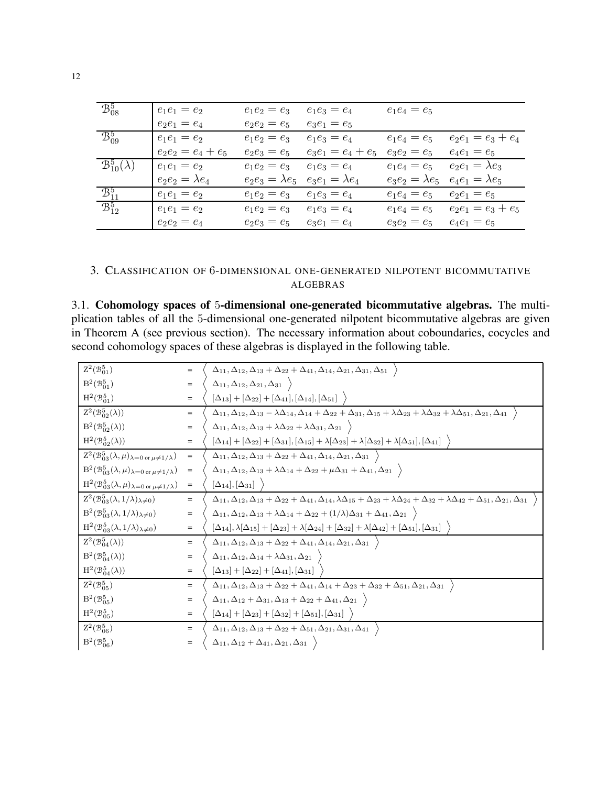| $\mathcal{B}^5_{08}$          | $e_1e_1 = e_2$       | $e_1e_2=e_3$   | $e_1e_3=e_4$                                  | $e_1e_4 = e_5$       |                        |
|-------------------------------|----------------------|----------------|-----------------------------------------------|----------------------|------------------------|
|                               | $e_2e_1=e_4$         | $e_2e_2 = e_5$ | $e_3e_1=e_5$                                  |                      |                        |
| $\mathcal{B}_{09}^5$          | $e_1e_1 = e_2$       | $e_1e_2 = e_3$ | $e_1e_3 = e_4$                                | $e_1e_4 = e_5$       | $e_2e_1 = e_3 + e_4$   |
|                               | $e_2e_2 = e_4 + e_5$ | $e_2e_3=e_5$   | $e_3e_1 = e_4 + e_5$                          | $e_3e_2=e_5$         | $e_4e_1 = e_5$         |
| $\mathcal{B}_{10}^5(\lambda)$ | $e_1e_1=e_2$         | $e_1e_2 = e_3$ | $e_1e_3 = e_4$                                | $e_1e_4 = e_5$       | $e_2e_1 = \lambda e_3$ |
|                               | $e_2e_2=\lambda e_4$ |                | $e_2e_3 = \lambda e_5$ $e_3e_1 = \lambda e_4$ | $e_3e_2=\lambda e_5$ | $e_4e_1 = \lambda e_5$ |
| $\mathcal{B}_{11}^5$          | $e_1e_1 = e_2$       | $e_1e_2 = e_3$ | $e_1e_3 = e_4$                                | $e_1e_4 = e_5$       | $e_2e_1 = e_5$         |
| $\mathcal{B}_{12}^5$          | $e_1e_1 = e_2$       | $e_1e_2 = e_3$ | $e_1e_3 = e_4$                                | $e_1e_4 = e_5$       | $e_2e_1 = e_3 + e_5$   |
|                               | $e_2e_2 = e_4$       | $e_2e_3 = e_5$ | $e_3e_1 = e_4$                                | $e_3e_2 = e_5$       | $e_4e_1 = e_5$         |

#### <span id="page-11-0"></span>3. CLASSIFICATION OF 6-DIMENSIONAL ONE-GENERATED NILPOTENT BICOMMUTATIVE ALGEBRAS

3.1. Cohomology spaces of 5-dimensional one-generated bicommutative algebras. The multiplication tables of all the 5-dimensional one-generated nilpotent bicommutative algebras are given in Theorem A (see previous section). The necessary information about coboundaries, cocycles and second cohomology spaces of these algebras is displayed in the following table.

| $\mathbf{Z}^2(\mathcal{B}^5_{01})$                                               | $=$       | $\Delta_{11}, \Delta_{12}, \Delta_{13} + \Delta_{22} + \Delta_{41}, \Delta_{14}, \Delta_{21}, \Delta_{31}, \Delta_{51}$                                                                        |
|----------------------------------------------------------------------------------|-----------|------------------------------------------------------------------------------------------------------------------------------------------------------------------------------------------------|
| $B^2(\mathcal{B}_{01}^5)$                                                        | $=$       | $\Delta_{11}, \Delta_{12}, \Delta_{21}, \Delta_{31} \rangle$                                                                                                                                   |
| $H^2(\mathcal{B}_{01}^5)$                                                        | $=$       | $[\Delta_{13}] + [\Delta_{22}] + [\Delta_{41}], [\Delta_{14}], [\Delta_{51}]$                                                                                                                  |
| $Z^2(\mathcal{B}_{02}^5(\lambda))$                                               | $=$       | $\Delta_{11},\Delta_{12},\Delta_{13}-\lambda\Delta_{14}, \Delta_{14}+\Delta_{22}+\Delta_{31}, \Delta_{15}+\lambda\Delta_{23}+\lambda\Delta_{32}+\lambda\Delta_{51}, \Delta_{21}, \Delta_{41}$  |
| $B^2(\mathcal{B}_{02}^5(\lambda))$                                               | $=$       | $\Delta_{11}, \Delta_{12}, \Delta_{13} + \lambda \Delta_{22} + \lambda \Delta_{31}, \Delta_{21}$                                                                                               |
| $H^2(\mathcal{B}^5_{02}(\lambda))$                                               | $=$       | $[\Delta_{14}] + [\Delta_{22}] + [\Delta_{31}], [\Delta_{15}] + \lambda [\Delta_{23}] + \lambda [\Delta_{32}] + \lambda [\Delta_{51}], [\Delta_{41}]$                                          |
| $Z^2(\mathcal{B}_{03}^5(\lambda,\mu)_{\lambda=0 \text{ or } \mu\neq 1/\lambda})$ | $=$       | $\Delta_{11}, \Delta_{12}, \Delta_{13}+\Delta_{22}+\Delta_{41}, \Delta_{14}, \Delta_{21}, \Delta_{31} \ \ \rangle$                                                                             |
| $B^2(\mathcal{B}_{03}^5(\lambda,\mu)_{\lambda=0 \text{ or } \mu\neq 1/\lambda})$ | $\equiv$  | $\Delta_{11}, \Delta_{12}, \Delta_{13} + \lambda \Delta_{14} + \Delta_{22} + \mu \Delta_{31} + \Delta_{41}, \Delta_{21}$                                                                       |
| $H^2(\mathcal{B}_{03}^5(\lambda,\mu)_{\lambda=0 \text{ or } \mu\neq 1/\lambda})$ | $\equiv$  | $[\Delta_{14}], [\Delta_{31}]$                                                                                                                                                                 |
| $Z^2(\mathcal{B}_{03}^5(\lambda,1/\lambda)_{\lambda\neq 0})$                     | $=$       | $\Delta_{11},\Delta_{12},\Delta_{13}+\Delta_{22}+\Delta_{41},\Delta_{14},\lambda\Delta_{15}+\Delta_{23}+\lambda\Delta_{24}+\Delta_{32}+\lambda\Delta_{42}+\Delta_{51},\Delta_{21},\Delta_{31}$ |
| $B^2(\mathcal{B}_{03}^5(\lambda,1/\lambda)_{\lambda\neq 0})$                     | $=$       | $\Delta_{11}, \Delta_{12}, \Delta_{13} + \lambda \Delta_{14} + \Delta_{22} + (1/\lambda)\Delta_{31} + \Delta_{41}, \Delta_{21}$                                                                |
| $H^2(\mathcal{B}_{03}^5(\lambda,1/\lambda)_{\lambda\neq 0})$                     | $=$       | $[\Delta_{14}], \lambda [\Delta_{15}] + [\Delta_{23}] + \lambda [\Delta_{24}] + [\Delta_{32}] + \lambda [\Delta_{42}] + [\Delta_{51}], [\Delta_{31}]$                                          |
| $Z^2(\mathcal{B}_{04}^5(\lambda))$                                               | $=$       | $\Delta_{11}, \Delta_{12}, \Delta_{13}+\Delta_{22}+\Delta_{41}, \Delta_{14}, \Delta_{21}, \Delta_{31}$                                                                                         |
| $B^2(\mathcal{B}^5_{04}(\lambda))$                                               | $=$       | $\Delta_{11},\Delta_{12},\Delta_{14}+\lambda\Delta_{31},\Delta_{21}$                                                                                                                           |
| $H^2(\mathcal{B}^5_{04}(\lambda))$                                               | $=$       | $[\Delta_{13}] + [\Delta_{22}] + [\Delta_{41}], [\Delta_{31}]$                                                                                                                                 |
| $Z^2(\mathcal{B}_{05}^5)$                                                        | $=$       | $\Delta_{11},\Delta_{12},\Delta_{13}+\Delta_{22}+\Delta_{41}, \Delta_{14}+\Delta_{23}+\Delta_{32}+\Delta_{51}, \Delta_{21}, \Delta_{31}$                                                       |
| $B^2(\mathcal{B}_{05}^5)$                                                        | $\quad =$ | $\Delta_{11}, \Delta_{12} + \Delta_{31}, \Delta_{13} + \Delta_{22} + \Delta_{41}, \Delta_{21}$                                                                                                 |
| $H^2({\mathcal B}^5_{05})$                                                       | $\quad =$ | $[\Delta_{14}] + [\Delta_{23}] + [\Delta_{32}] + [\Delta_{51}], [\Delta_{31}]$                                                                                                                 |
| $Z^2({\mathcal B}^5_{06})$                                                       | $=$       | $\Delta_{11}, \Delta_{12}, \Delta_{13}+\Delta_{22}+\Delta_{51}, \Delta_{21}, \Delta_{31}, \Delta_{41}$                                                                                         |
| $B^2(\mathcal{B}_{06}^5)$                                                        | $=$       | $\Delta_{11}, \Delta_{12} + \Delta_{41}, \Delta_{21}, \Delta_{31}$                                                                                                                             |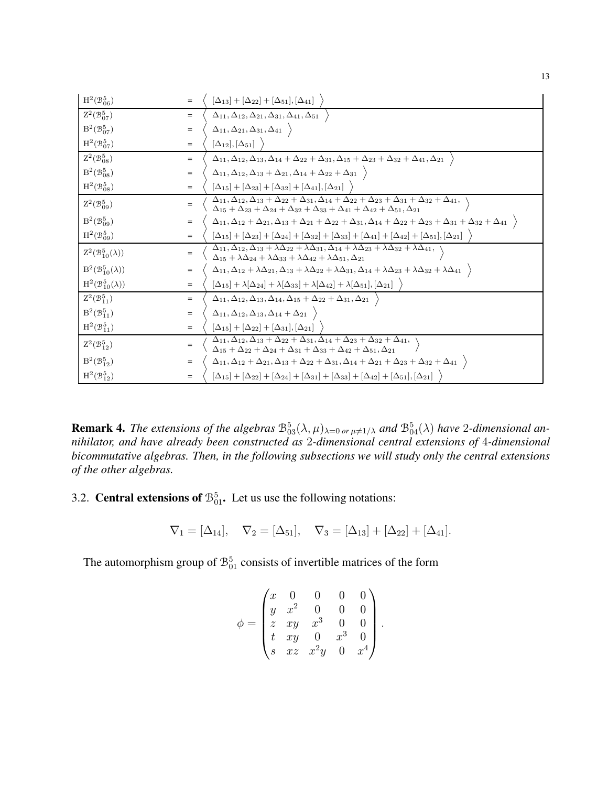| $\mathrm{H}^2(\mathcal{B}^5_{06})$ | $=$ | $[\Delta_{13}] + [\Delta_{22}] + [\Delta_{51}], [\Delta_{41}]$                                                                                                                                                                                                                                     |
|------------------------------------|-----|----------------------------------------------------------------------------------------------------------------------------------------------------------------------------------------------------------------------------------------------------------------------------------------------------|
| $Z^2(\mathcal{B}_{07}^5)$          | $=$ | $\Delta_{11}, \Delta_{12}, \Delta_{21}, \Delta_{31}, \Delta_{41}, \Delta_{51}$                                                                                                                                                                                                                     |
| $B^2(\mathcal{B}_{07}^5)$          | $=$ | $\Delta_{11}, \Delta_{21}, \Delta_{31}, \Delta_{41}$                                                                                                                                                                                                                                               |
| $H^2(\mathcal{B}^5_{07})$          | $=$ | $[\Delta_{12}], [\Delta_{51}]$                                                                                                                                                                                                                                                                     |
| $Z^2(\mathcal{B}_{08}^5)$          | $=$ | $\Delta_{11}, \Delta_{12}, \Delta_{13}, \Delta_{14}+\Delta_{22}+\Delta_{31}, \Delta_{15}+\Delta_{23}+\Delta_{32}+\Delta_{41}, \Delta_{21}$                                                                                                                                                         |
| $B^2(\mathcal{B}^5_{08})$          | $=$ | $\Delta_{11}, \Delta_{12}, \Delta_{13} + \Delta_{21}, \Delta_{14} + \Delta_{22} + \Delta_{31}$                                                                                                                                                                                                     |
| $H^2(\mathcal{B}_{08}^5)$          | $=$ | $[\Delta_{15}] + [\Delta_{23}] + [\Delta_{32}] + [\Delta_{41}], [\Delta_{21}]$                                                                                                                                                                                                                     |
| $Z^2(\mathcal{B}_{09}^5)$          |     | $\Delta_{11}, \Delta_{12}, \Delta_{13} + \overline{\Delta_{22} + \Delta_{31}, \Delta_{14} + \Delta_{22} + \Delta_{23} + \Delta_{31} + \Delta_{32} + \Delta_{41}},$<br>$\Delta_{15} + \Delta_{23} + \Delta_{24} + \Delta_{32} + \Delta_{33} + \Delta_{41} + \Delta_{42} + \Delta_{51}, \Delta_{21}$ |
| $B^2(\mathcal{B}_{09}^5)$          | $=$ | $\Delta_{11},\Delta_{12}+\Delta_{21},\Delta_{13}+\Delta_{21}+\Delta_{22}+\Delta_{31}, \Delta_{14}+\Delta_{22}+\Delta_{23}+\Delta_{31}+\Delta_{32}+\Delta_{41} \ \ \rangle$                                                                                                                         |
| $H^2(\mathcal{B}_{09}^5)$          | $=$ | $[\Delta_{15}]+[\Delta_{23}]+[\Delta_{24}]+[\Delta_{32}]+[\Delta_{33}]+[\Delta_{41}]+[\Delta_{42}]+[\Delta_{51}], [\Delta_{21}]$                                                                                                                                                                   |
| $Z^2(\mathcal{B}_{10}^5(\lambda))$ | $=$ | $\Delta_{11}, \Delta_{12}, \Delta_{13}+\lambda\Delta_{22}+\lambda\Delta_{31}, \Delta_{14}+\lambda\Delta_{23}+\lambda\Delta_{32}+\lambda\Delta_{41},$<br>$\Delta_{15} + \lambda \Delta_{24} + \lambda \Delta_{33} + \lambda \Delta_{42} + \lambda \Delta_{51}, \Delta_{21}$                         |
| $B^2(\mathcal{B}_{10}^5(\lambda))$ | $=$ | $\Delta_{11}, \Delta_{12} + \lambda \Delta_{21}, \Delta_{13} + \lambda \Delta_{22} + \lambda \Delta_{31}, \Delta_{14} + \lambda \Delta_{23} + \lambda \Delta_{32} + \lambda \Delta_{41}$                                                                                                           |
| $H^2(\mathcal{B}_{10}^5(\lambda))$ | $=$ | $[\Delta_{15}]+\lambda[\Delta_{24}]+\lambda[\Delta_{33}]+\lambda[\Delta_{42}]+\lambda[\Delta_{51}], [\Delta_{21}]$                                                                                                                                                                                 |
| $Z^2(\mathcal{B}_{11}^5)$          | $=$ | $\Delta_{11}, \Delta_{12}, \Delta_{13}, \Delta_{14}, \Delta_{15}+\Delta_{22}+\Delta_{31}, \Delta_{21}$                                                                                                                                                                                             |
| $B^2(\mathcal{B}_{11}^5)$          | $=$ | $\Delta_{11},\Delta_{12},\Delta_{13},\Delta_{14}+\Delta_{21}$                                                                                                                                                                                                                                      |
| $H^2(\mathcal{B}_{11}^5)$          | $=$ | $[\Delta_{15}] + [\Delta_{22}] + [\Delta_{31}], [\Delta_{21}]$                                                                                                                                                                                                                                     |
| $Z^2(\mathcal{B}_{12}^5)$          | $=$ | $\Delta_{11}, \Delta_{12}, \Delta_{13} + \Delta_{22} + \Delta_{31}, \Delta_{14} + \Delta_{23} + \Delta_{32} + \Delta_{41},$<br>$\Delta_{15} + \Delta_{22} + \Delta_{24} + \Delta_{31} + \Delta_{33} + \Delta_{42} + \Delta_{51}, \Delta_{21}$                                                      |
| $B^2(\mathcal{B}_{12}^5)$          | $=$ | $\Delta_{11}, \Delta_{12} + \Delta_{21}, \Delta_{13} + \Delta_{22} + \Delta_{31}, \Delta_{14} + \Delta_{21} + \Delta_{23} + \Delta_{32} + \Delta_{41}$                                                                                                                                             |
| $H^2(\mathcal{B}_{12}^5)$          | $=$ | $[\Delta_{15}]+[\Delta_{22}]+[\Delta_{24}]+[\Delta_{31}]+[\Delta_{33}]+[\Delta_{42}]+[\Delta_{51}], [\Delta_{21}]$                                                                                                                                                                                 |

**Remark 4.** The extensions of the algebras  $\mathcal{B}_{03}^5(\lambda,\mu)_{\lambda=0}$  or  $\mu\neq 1/\lambda$  and  $\mathcal{B}_{04}^5(\lambda)$  have 2-dimensional an*nihilator, and have already been constructed as* 2*-dimensional central extensions of* 4*-dimensional bicommutative algebras. Then, in the following subsections we will study only the central extensions of the other algebras.*

3.2. **Central extensions of**  $\mathcal{B}_{01}^5$ . Let us use the following notations:

$$
\nabla_1 = [\Delta_{14}], \quad \nabla_2 = [\Delta_{51}], \quad \nabla_3 = [\Delta_{13}] + [\Delta_{22}] + [\Delta_{41}].
$$

The automorphism group of  $\mathcal{B}_{01}^5$  consists of invertible matrices of the form

$$
\phi = \begin{pmatrix} x & 0 & 0 & 0 & 0 \\ y & x^2 & 0 & 0 & 0 \\ z & xy & x^3 & 0 & 0 \\ t & xy & 0 & x^3 & 0 \\ s & xz & x^2y & 0 & x^4 \end{pmatrix}.
$$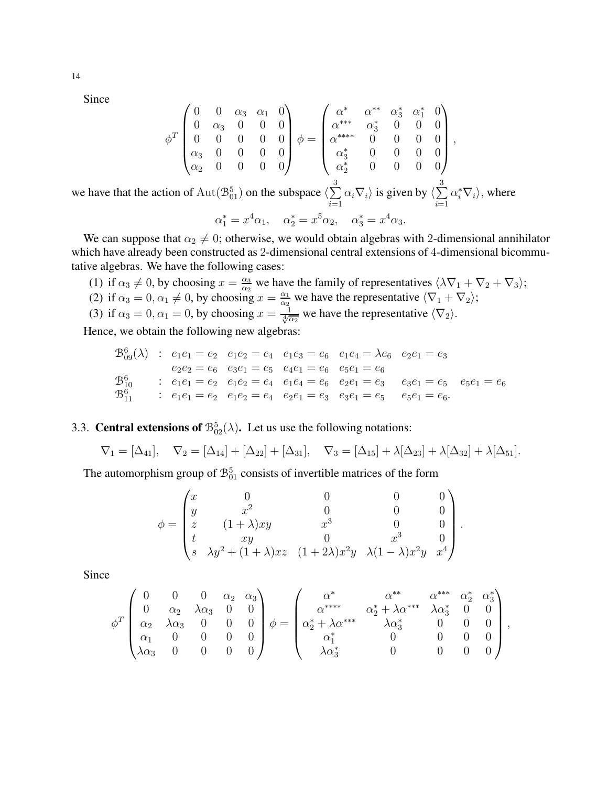Since

$$
\phi^T \begin{pmatrix} 0 & 0 & \alpha_3 & \alpha_1 & 0 \\ 0 & \alpha_3 & 0 & 0 & 0 \\ 0 & 0 & 0 & 0 & 0 \\ \alpha_3 & 0 & 0 & 0 & 0 \\ \alpha_2 & 0 & 0 & 0 & 0 \end{pmatrix} \phi = \begin{pmatrix} \alpha^* & \alpha^{**} & \alpha_3^* & \alpha_1^* & 0 \\ \alpha^{***} & \alpha_3^* & 0 & 0 & 0 \\ \alpha^{**} & 0 & 0 & 0 & 0 \\ \alpha_3^* & 0 & 0 & 0 & 0 \\ \alpha_2^* & 0 & 0 & 0 & 0 \end{pmatrix},
$$
  
we have that the action of  $\text{Aut}(\mathcal{B}_{01}^5)$  on the subspace  $\langle \sum_{i=1}^3 \alpha_i \nabla_i \rangle$  is given by  $\langle \sum_{i=1}^3 \alpha_i^* \nabla_i \rangle$ , where  $\alpha_1^* = x^4 \alpha_1$ ,  $\alpha_2^* = x^5 \alpha_2$ ,  $\alpha_3^* = x^4 \alpha_3$ .

We can suppose that  $\alpha_2 \neq 0$ ; otherwise, we would obtain algebras with 2-dimensional annihilator which have already been constructed as 2-dimensional central extensions of 4-dimensional bicommutative algebras. We have the following cases:

(1) if  $\alpha_3 \neq 0$ , by choosing  $x = \frac{\alpha_3}{\alpha_2}$  $\frac{\alpha_3}{\alpha_2}$  we have the family of representatives  $\langle \lambda \nabla_1 + \nabla_2 + \nabla_3 \rangle$ ; (2) if  $\alpha_3 = 0, \alpha_1 \neq 0$ , by choosing  $x = \frac{\alpha_1}{\alpha_2}$  $\frac{\alpha_1}{\alpha_2}$  we have the representative  $\langle \nabla_1 + \nabla_2 \rangle$ ; (3) if  $\alpha_3 = 0, \alpha_1 = 0$ , by choosing  $x = \frac{1}{\sqrt[4]{\alpha_2}}$  we have the representative  $\langle \nabla_2 \rangle$ .

Hence, we obtain the following new algebras:

$$
\begin{array}{ccccccccc}\n\mathfrak{B}^{6}_{09}(\lambda) & : & e_1e_1 = e_2 & e_1e_2 = e_4 & e_1e_3 = e_6 & e_1e_4 = \lambda e_6 & e_2e_1 = e_3 \\
& e_2e_2 = e_6 & e_3e_1 = e_5 & e_4e_1 = e_6 & e_5e_1 = e_6 \\
\mathfrak{B}^{6}_{10} & : & e_1e_1 = e_2 & e_1e_2 = e_4 & e_1e_4 = e_6 & e_2e_1 = e_3 & e_3e_1 = e_5 & e_5e_1 = e_6 \\
\mathfrak{B}^{6}_{11} & : & e_1e_1 = e_2 & e_1e_2 = e_4 & e_2e_1 = e_3 & e_3e_1 = e_5 & e_5e_1 = e_6.\n\end{array}
$$

## 3.3. **Central extensions of**  $\mathcal{B}_{02}^5(\lambda)$ . Let us use the following notations:

$$
\nabla_1 = [\Delta_{41}], \quad \nabla_2 = [\Delta_{14}] + [\Delta_{22}] + [\Delta_{31}], \quad \nabla_3 = [\Delta_{15}] + \lambda[\Delta_{23}] + \lambda[\Delta_{32}] + \lambda[\Delta_{51}].
$$

The automorphism group of  $\mathcal{B}_{01}^5$  consists of invertible matrices of the form

$$
\phi = \begin{pmatrix}\nx & 0 & 0 & 0 & 0 \\
y & x^2 & 0 & 0 & 0 \\
z & (1+\lambda)xy & x^3 & 0 & 0 \\
t & xy & 0 & x^3 & 0 \\
s & \lambda y^2 + (1+\lambda)xz & (1+2\lambda)x^2y & \lambda(1-\lambda)x^2y & x^4\n\end{pmatrix}
$$

.

,

Since

$$
\phi^T \begin{pmatrix}\n0 & 0 & 0 & \alpha_2 & \alpha_3 \\
0 & \alpha_2 & \lambda \alpha_3 & 0 & 0 \\
\alpha_2 & \lambda \alpha_3 & 0 & 0 & 0 \\
\alpha_1 & 0 & 0 & 0 & 0 \\
\lambda \alpha_3 & 0 & 0 & 0 & 0\n\end{pmatrix}\n\phi = \begin{pmatrix}\n\alpha^* & \alpha^{**} & \alpha^{**} & \alpha_2^* & \alpha_3^* \\
\alpha^{***} & \alpha_2^* + \lambda \alpha^{***} & \lambda \alpha_3^* & 0 & 0 \\
\alpha_2^* + \lambda \alpha^{**} & \lambda \alpha_3^* & 0 & 0 & 0 \\
\alpha_1^* & 0 & 0 & 0 & 0 \\
\lambda \alpha_3^* & 0 & 0 & 0 & 0\n\end{pmatrix}
$$

14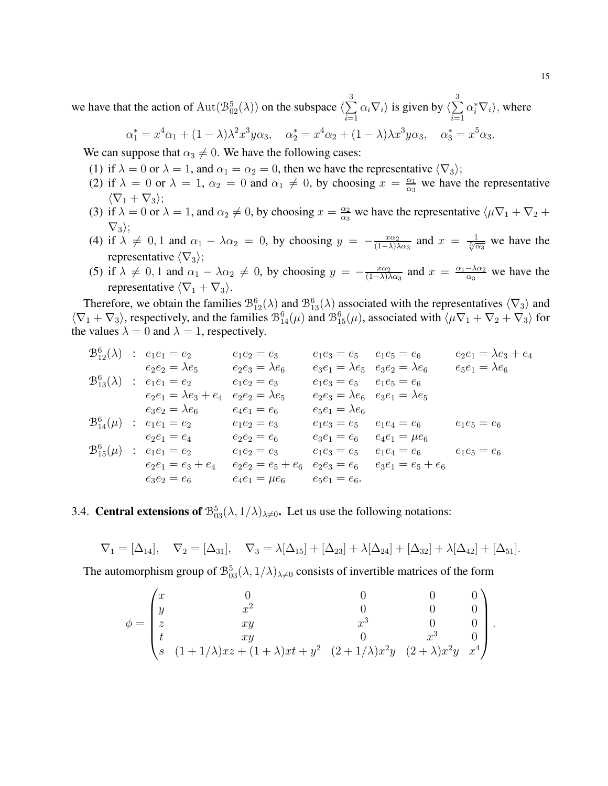we have that the action of  $\text{Aut}(\mathcal{B}^5_{02}(\lambda))$  on the subspace  $\langle \sum_{n=1}^{\infty}$ 3  $i=1$  $\alpha_i \nabla_i$  is given by  $\langle \sum \rangle$ 3  $i=1$  $\alpha_i^* \nabla_i$ , where

$$
\alpha_1^* = x^4 \alpha_1 + (1 - \lambda)\lambda^2 x^3 y \alpha_3, \quad \alpha_2^* = x^4 \alpha_2 + (1 - \lambda)\lambda x^3 y \alpha_3, \quad \alpha_3^* = x^5 \alpha_3.
$$

We can suppose that  $\alpha_3 \neq 0$ . We have the following cases:

- (1) if  $\lambda = 0$  or  $\lambda = 1$ , and  $\alpha_1 = \alpha_2 = 0$ , then we have the representative  $\langle \nabla_3 \rangle$ ;
- (2) if  $\lambda = 0$  or  $\lambda = 1$ ,  $\alpha_2 = 0$  and  $\alpha_1 \neq 0$ , by choosing  $x = \frac{\alpha_1}{\alpha_2}$  $\frac{\alpha_1}{\alpha_3}$  we have the representative  $\langle \nabla_1 + \nabla_3 \rangle;$
- (3) if  $\lambda = 0$  or  $\lambda = 1$ , and  $\alpha_2 \neq 0$ , by choosing  $x = \frac{\alpha_2}{\alpha_3}$  $\frac{\alpha_2}{\alpha_3}$  we have the representative  $\langle \mu \nabla_1 + \nabla_2 +$  $\nabla_3$ ;
- (4) if  $\lambda \neq 0, 1$  and  $\alpha_1 \lambda \alpha_2 = 0$ , by choosing  $y = -\frac{x\alpha_2}{(1-\lambda)^2}$  $\frac{x\alpha_2}{(1-\lambda)\lambda\alpha_3}$  and  $x = \frac{1}{\sqrt[5]{\alpha_3}}$  we have the representative  $\langle \nabla_3 \rangle$ ;
- (5) if  $\lambda \neq 0, 1$  and  $\alpha_1 \lambda \alpha_2 \neq 0$ , by choosing  $y = -\frac{x\alpha_2}{(1-\lambda)^2}$  $\frac{x\alpha_2}{(1-\lambda)\lambda\alpha_3}$  and  $x = \frac{\alpha_1-\lambda\alpha_2}{\alpha_3}$  we have the representative  $\langle \nabla_1 + \nabla_3 \rangle$ .

Therefore, we obtain the families  $\mathcal{B}_{12}^6(\lambda)$  and  $\mathcal{B}_{13}^6(\lambda)$  associated with the representatives  $\langle \nabla_3 \rangle$  and  $\langle \nabla_1 + \nabla_3 \rangle$ , respectively, and the families  $\mathcal{B}_{14}^6(\mu)$  and  $\mathcal{B}_{15}^6(\mu)$ , associated with  $\langle \mu \nabla_1 + \nabla_2 + \nabla_3 \rangle$  for the values  $\lambda = 0$  and  $\lambda = 1$ , respectively.

B<sup>6</sup> <sup>12</sup>(λ) : e1e<sup>1</sup> = e<sup>2</sup> e1e<sup>2</sup> = e<sup>3</sup> e1e<sup>3</sup> = e<sup>5</sup> e1e<sup>5</sup> = e<sup>6</sup> e2e<sup>1</sup> = λe<sup>3</sup> + e<sup>4</sup> e2e<sup>2</sup> = λe<sup>5</sup> e2e<sup>3</sup> = λe<sup>6</sup> e3e<sup>1</sup> = λe<sup>5</sup> e3e<sup>2</sup> = λe<sup>6</sup> e5e<sup>1</sup> = λe<sup>6</sup> B<sup>6</sup> <sup>13</sup>(λ) : e1e<sup>1</sup> = e<sup>2</sup> e1e<sup>2</sup> = e<sup>3</sup> e1e<sup>3</sup> = e<sup>5</sup> e1e<sup>5</sup> = e<sup>6</sup> e2e<sup>1</sup> = λe<sup>3</sup> + e<sup>4</sup> e2e<sup>2</sup> = λe<sup>5</sup> e2e<sup>3</sup> = λe<sup>6</sup> e3e<sup>1</sup> = λe<sup>5</sup> e3e<sup>2</sup> = λe<sup>6</sup> e4e<sup>1</sup> = e<sup>6</sup> e5e<sup>1</sup> = λe<sup>6</sup> B<sup>6</sup> <sup>14</sup>(µ) : e1e<sup>1</sup> = e<sup>2</sup> e1e<sup>2</sup> = e<sup>3</sup> e1e<sup>3</sup> = e<sup>5</sup> e1e<sup>4</sup> = e<sup>6</sup> e1e<sup>5</sup> = e<sup>6</sup> e2e<sup>1</sup> = e<sup>4</sup> e2e<sup>2</sup> = e<sup>6</sup> e3e<sup>1</sup> = e<sup>6</sup> e4e<sup>1</sup> = µe<sup>6</sup> B<sup>6</sup> <sup>15</sup>(µ) : e1e<sup>1</sup> = e<sup>2</sup> e1e<sup>2</sup> = e<sup>3</sup> e1e<sup>3</sup> = e<sup>5</sup> e1e<sup>4</sup> = e<sup>6</sup> e1e<sup>5</sup> = e<sup>6</sup> e2e<sup>1</sup> = e<sup>3</sup> + e<sup>4</sup> e2e<sup>2</sup> = e<sup>5</sup> + e<sup>6</sup> e2e<sup>3</sup> = e<sup>6</sup> e3e<sup>1</sup> = e<sup>5</sup> + e<sup>6</sup> e3e<sup>2</sup> = e<sup>6</sup> e4e<sup>1</sup> = µe<sup>6</sup> e5e<sup>1</sup> = e6.

# 3.4. **Central extensions of**  $\mathcal{B}_{03}^5(\lambda, 1/\lambda)_{\lambda \neq 0}$ . Let us use the following notations:

$$
\nabla_1 = [\Delta_{14}], \quad \nabla_2 = [\Delta_{31}], \quad \nabla_3 = \lambda[\Delta_{15}] + [\Delta_{23}] + \lambda[\Delta_{24}] + [\Delta_{32}] + \lambda[\Delta_{42}] + [\Delta_{51}].
$$

The automorphism group of  $\mathcal{B}^5_{03}(\lambda,1/\lambda)_{\lambda\neq 0}$  consists of invertible matrices of the form

$$
\phi = \begin{pmatrix}\nx & 0 & 0 & 0 & 0 \\
y & x^2 & 0 & 0 & 0 \\
z & xy & x^3 & 0 & 0 \\
t & xy & 0 & x^3 & 0 \\
s & (1+1/\lambda)xz + (1+\lambda)xt + y^2 & (2+1/\lambda)x^2y & (2+\lambda)x^2y & x^4\n\end{pmatrix}
$$

.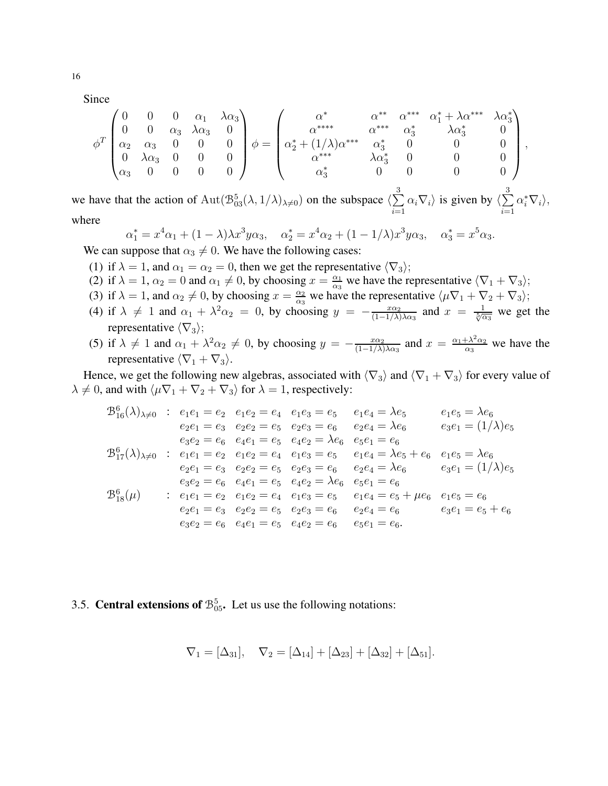Since

$$
\phi^T \begin{pmatrix} 0 & 0 & 0 & \alpha_1 & \lambda \alpha_3 \\ 0 & 0 & \alpha_3 & \lambda \alpha_3 & 0 \\ \alpha_2 & \alpha_3 & 0 & 0 & 0 \\ 0 & \lambda \alpha_3 & 0 & 0 & 0 \\ \alpha_3 & 0 & 0 & 0 & 0 \end{pmatrix} \phi = \begin{pmatrix} \alpha^* & \alpha^{**} & \alpha^{***} & \alpha_1^* + \lambda \alpha^{***} & \lambda \alpha_3^* \\ \alpha^{****} & \alpha_3^{**} & \alpha_3^{**} & \lambda \alpha_3^* & 0 \\ \alpha_2^* + (1/\lambda) \alpha^{***} & \alpha_3^* & 0 & 0 & 0 \\ \alpha_3^* & 0 & 0 & 0 & 0 \end{pmatrix},
$$

we have that the action of  $\text{Aut}(\mathcal{B}^5_{03}(\lambda,1/\lambda)_{\lambda\neq0})$  on the subspace  $\langle \sum_{n=1}^{\infty}$ 3  $i=1$  $\alpha_i \nabla_i$  is given by  $\langle \sum \rangle$ 3  $i=1$  $\alpha_i^*\nabla_i\rangle,$ where

$$
\alpha_1^* = x^4 \alpha_1 + (1 - \lambda)\lambda x^3 y \alpha_3, \quad \alpha_2^* = x^4 \alpha_2 + (1 - 1/\lambda)x^3 y \alpha_3, \quad \alpha_3^* = x^5 \alpha_3.
$$

We can suppose that  $\alpha_3 \neq 0$ . We have the following cases:

- (1) if  $\lambda = 1$ , and  $\alpha_1 = \alpha_2 = 0$ , then we get the representative  $\langle \nabla_3 \rangle$ ;
- (2) if  $\lambda = 1$ ,  $\alpha_2 = 0$  and  $\alpha_1 \neq 0$ , by choosing  $x = \frac{\alpha_1}{\alpha_2}$  $\frac{\alpha_1}{\alpha_3}$  we have the representative  $\langle \nabla_1 + \nabla_3 \rangle$ ;
- (3) if  $\lambda = 1$ , and  $\alpha_2 \neq 0$ , by choosing  $x = \frac{\alpha_2}{\alpha_3}$  $\frac{\alpha_2}{\alpha_3}$  we have the representative  $\langle \mu \nabla_1 + \nabla_2 + \nabla_3 \rangle$ ;
- (4) if  $\lambda \neq 1$  and  $\alpha_1 + \lambda^2 \alpha_2 = 0$ , by choosing  $y = -\frac{x\alpha_2}{(1-1/\lambda)^2}$  $\frac{x\alpha_2}{(1-1/\lambda)\lambda\alpha_3}$  and  $x = \frac{1}{\sqrt[5]{\alpha_3}}$  we get the representative  $\langle \nabla_3 \rangle$ ;
- (5) if  $\lambda \neq 1$  and  $\alpha_1 + \lambda^2 \alpha_2 \neq 0$ , by choosing  $y = -\frac{x\alpha_2}{(1-1/\lambda)}$  $\frac{x\alpha_2}{(1-1/\lambda)\lambda\alpha_3}$  and  $x = \frac{\alpha_1 + \lambda^2\alpha_2}{\alpha_3}$  $\frac{(\lambda^2 \alpha_2)}{\alpha_3}$  we have the representative  $\langle \nabla_1 + \nabla_3 \rangle$ .

Hence, we get the following new algebras, associated with  $\langle \nabla_3 \rangle$  and  $\langle \nabla_1 + \nabla_3 \rangle$  for every value of  $\lambda \neq 0$ , and with  $\langle \mu \nabla_1 + \nabla_2 + \nabla_3 \rangle$  for  $\lambda = 1$ , respectively:

$$
\mathcal{B}_{16}^{6}(\lambda)_{\lambda\neq0} : e_{1}e_{1} = e_{2} e_{1}e_{2} = e_{4} e_{1}e_{3} = e_{5} e_{1}e_{4} = \lambda e_{5} e_{1}e_{5} = \lambda e_{6}
$$
  
\n
$$
e_{2}e_{1} = e_{3} e_{2}e_{2} = e_{5} e_{2}e_{3} = e_{6} e_{2}e_{4} = \lambda e_{6} e_{3}e_{1} = (1/\lambda)e_{5}
$$
  
\n
$$
e_{3}e_{2} = e_{6} e_{4}e_{1} = e_{5} e_{4}e_{2} = \lambda e_{6} e_{5}e_{1} = e_{6}
$$
  
\n
$$
\mathcal{B}_{17}^{6}(\lambda)_{\lambda\neq0} : e_{1}e_{1} = e_{2} e_{1}e_{2} = e_{4} e_{1}e_{3} = e_{5} e_{1}e_{4} = \lambda e_{5} + e_{6} e_{1}e_{5} = \lambda e_{6}
$$
  
\n
$$
e_{2}e_{1} = e_{3} e_{2}e_{2} = e_{5} e_{2}e_{3} = e_{6} e_{2}e_{4} = \lambda e_{6} e_{3}e_{1} = (1/\lambda)e_{5}
$$
  
\n
$$
e_{3}e_{2} = e_{6} e_{4}e_{1} = e_{5} e_{4}e_{2} = \lambda e_{6} e_{5}e_{1} = e_{6}
$$
  
\n
$$
\mathcal{B}_{18}^{6}(\mu) : e_{1}e_{1} = e_{2} e_{1}e_{2} = e_{4} e_{1}e_{3} = e_{5} e_{1}e_{4} = e_{5} + \mu e_{6} e_{1}e_{5} = e_{6}
$$
  
\n
$$
e_{2}e_{1} = e_{3} e_{2}e_{2} = e_{5} e_{2}e_{3} = e_{6} e_{2}e_{4} = e_{6} e_{3}e_{1} = e_{5} + e_{6}
$$
  
\n
$$
e_{3}e_{2} = e_{6} e_{4}e_{1} = e_{5} e_{4}e_{2} = e_{6} e_{5}e_{1} = e_{6}.
$$

3.5. **Central extensions of**  $\mathcal{B}_{05}^5$ . Let us use the following notations:

$$
\nabla_1 = [\Delta_{31}], \quad \nabla_2 = [\Delta_{14}] + [\Delta_{23}] + [\Delta_{32}] + [\Delta_{51}].
$$

16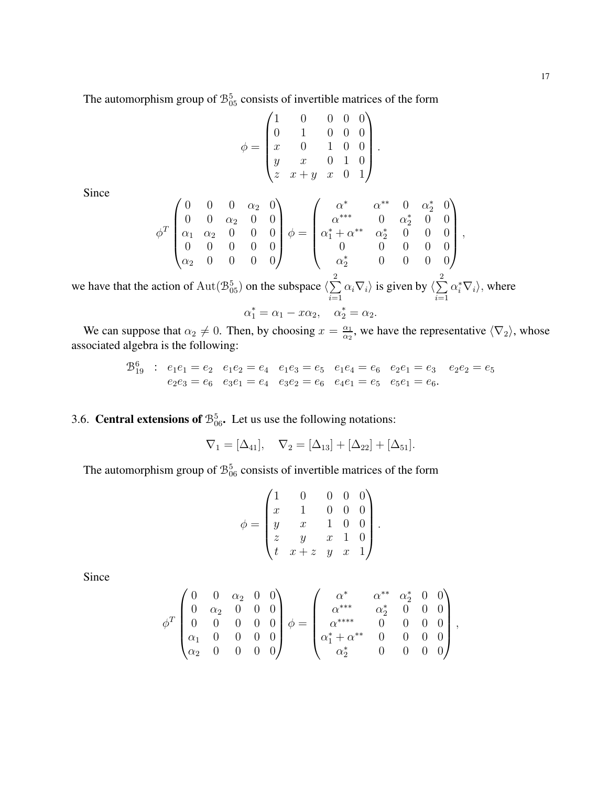The automorphism group of  $\mathcal{B}_{05}^5$  consists of invertible matrices of the form

$$
\phi = \begin{pmatrix} 1 & 0 & 0 & 0 & 0 \\ 0 & 1 & 0 & 0 & 0 \\ x & 0 & 1 & 0 & 0 \\ y & x & 0 & 1 & 0 \\ z & x + y & x & 0 & 1 \end{pmatrix}.
$$

Since

$$
\phi^T \begin{pmatrix} 0 & 0 & 0 & \alpha_2 & 0 \\ 0 & 0 & \alpha_2 & 0 & 0 \\ \alpha_1 & \alpha_2 & 0 & 0 & 0 \\ 0 & 0 & 0 & 0 & 0 \\ \alpha_2 & 0 & 0 & 0 & 0 \end{pmatrix} \phi = \begin{pmatrix} \alpha^* & \alpha^{**} & 0 & \alpha_2^* & 0 \\ \alpha^{***} & 0 & \alpha_2^* & 0 & 0 \\ \alpha_1^* + \alpha^{**} & \alpha_2^* & 0 & 0 & 0 \\ 0 & 0 & 0 & 0 & 0 \\ \alpha_2^* & 0 & 0 & 0 & 0 \end{pmatrix},
$$

we have that the action of  $\text{Aut}(\mathcal{B}_{05}^5)$  on the subspace  $\langle \sum_{n=1}^{\infty}$ 2  $i=1$  $\alpha_i \nabla_i$  is given by  $\langle \sum \rangle$ 2  $i=1$  $\alpha_i^* \nabla_i$ , where  $\alpha_1^* = \alpha_1 - x\alpha_2, \quad \alpha_2^* = \alpha_2.$ 

We can suppose that  $\alpha_2 \neq 0$ . Then, by choosing  $x = \frac{\alpha_1}{\alpha_2}$  $\frac{\alpha_1}{\alpha_2}$ , we have the representative  $\langle \nabla_2 \rangle$ , whose associated algebra is the following:

$$
\begin{array}{ccccccccc}\n\mathfrak{B}^6_{19} & : & e_1e_1 = e_2 & e_1e_2 = e_4 & e_1e_3 = e_5 & e_1e_4 = e_6 & e_2e_1 = e_3 & e_2e_2 = e_5 \\
& & e_2e_3 = e_6 & e_3e_1 = e_4 & e_3e_2 = e_6 & e_4e_1 = e_5 & e_5e_1 = e_6.\n\end{array}
$$

## 3.6. **Central extensions of**  $\mathcal{B}_{06}^5$ . Let us use the following notations:

$$
\nabla_1 = [\Delta_{41}], \quad \nabla_2 = [\Delta_{13}] + [\Delta_{22}] + [\Delta_{51}].
$$

The automorphism group of  $\mathcal{B}_{06}^5$  consists of invertible matrices of the form

$$
\phi = \begin{pmatrix} 1 & 0 & 0 & 0 & 0 \\ x & 1 & 0 & 0 & 0 \\ y & x & 1 & 0 & 0 \\ z & y & x & 1 & 0 \\ t & x+z & y & x & 1 \end{pmatrix}.
$$

Since

$$
\phi^T \begin{pmatrix} 0 & 0 & \alpha_2 & 0 & 0 \\ 0 & \alpha_2 & 0 & 0 & 0 \\ 0 & 0 & 0 & 0 & 0 \\ \alpha_1 & 0 & 0 & 0 & 0 \\ \alpha_2 & 0 & 0 & 0 & 0 \end{pmatrix} \phi = \begin{pmatrix} \alpha^* & \alpha^{**} & \alpha_2^* & 0 & 0 \\ \alpha^{***} & \alpha_2^* & 0 & 0 & 0 \\ \alpha^{***} & 0 & 0 & 0 & 0 \\ \alpha_1^* + \alpha^{**} & 0 & 0 & 0 & 0 \\ \alpha_2^* & 0 & 0 & 0 & 0 \end{pmatrix},
$$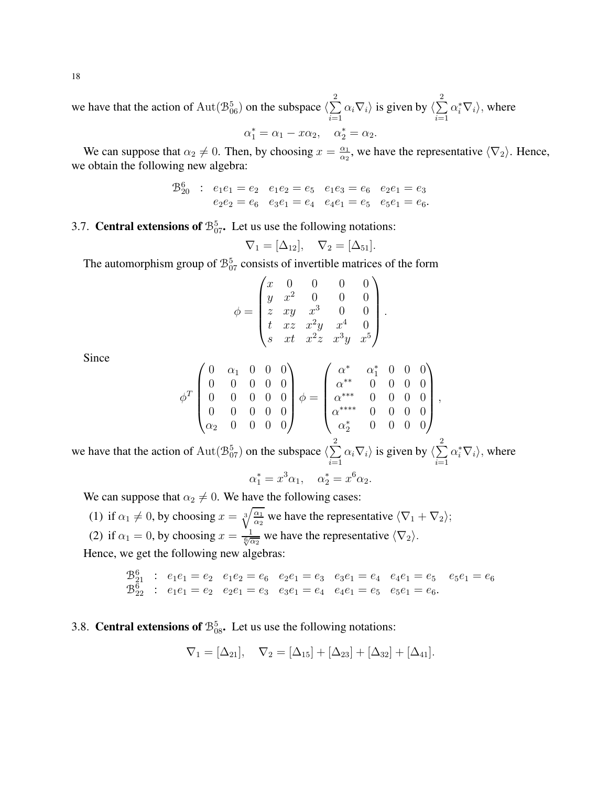we have that the action of  $\text{Aut}(\mathcal{B}_{06}^5)$  on the subspace  $\langle \sum_{n=1}^{\infty}$ 2  $i=1$  $\alpha_i \nabla_i$  is given by  $\langle \sum \rangle$ 2  $i=1$  $\alpha_i^* \nabla_i$ , where

$$
\alpha_1^* = \alpha_1 - x\alpha_2, \quad \alpha_2^* = \alpha_2.
$$

We can suppose that  $\alpha_2 \neq 0$ . Then, by choosing  $x = \frac{\alpha_1}{\alpha_2}$  $\frac{\alpha_1}{\alpha_2}$ , we have the representative  $\langle \nabla_2 \rangle$ . Hence, we obtain the following new algebra:

$$
\begin{array}{cccc}\n\mathfrak{B}^6_{20} & \colon & e_1e_1 = e_2 & e_1e_2 = e_5 & e_1e_3 = e_6 & e_2e_1 = e_3 \\
& e_2e_2 = e_6 & e_3e_1 = e_4 & e_4e_1 = e_5 & e_5e_1 = e_6.\n\end{array}
$$

## 3.7. **Central extensions of**  $\mathcal{B}_{07}^5$ . Let us use the following notations:

$$
\nabla_1 = [\Delta_{12}], \quad \nabla_2 = [\Delta_{51}].
$$

The automorphism group of  $\mathcal{B}_{07}^5$  consists of invertible matrices of the form

$$
\phi = \begin{pmatrix} x & 0 & 0 & 0 & 0 \\ y & x^2 & 0 & 0 & 0 \\ z & xy & x^3 & 0 & 0 \\ t & xz & x^2y & x^4 & 0 \\ s & xt & x^2z & x^3y & x^5 \end{pmatrix}.
$$

Since

$$
\phi^T \begin{pmatrix} 0 & \alpha_1 & 0 & 0 & 0 \\ 0 & 0 & 0 & 0 & 0 \\ 0 & 0 & 0 & 0 & 0 \\ 0 & 0 & 0 & 0 & 0 \\ \alpha_2 & 0 & 0 & 0 & 0 \end{pmatrix} \phi = \begin{pmatrix} \alpha^* & \alpha_1^* & 0 & 0 & 0 \\ \alpha^{**} & 0 & 0 & 0 & 0 \\ \alpha^{***} & 0 & 0 & 0 & 0 \\ \alpha^{***} & 0 & 0 & 0 & 0 \\ \alpha_2^* & 0 & 0 & 0 & 0 \end{pmatrix},
$$

we have that the action of  $\text{Aut}(\mathcal{B}^5_{07})$  on the subspace  $\langle \sum_{n=1}^{\infty}$ 2  $i=1$  $\alpha_i \nabla_i$  is given by  $\langle \sum \rangle$ 2  $i=1$  $\alpha_i^* \nabla_i$ , where

$$
\alpha_1^* = x^3 \alpha_1, \quad \alpha_2^* = x^6 \alpha_2.
$$

We can suppose that  $\alpha_2 \neq 0$ . We have the following cases:

(1) if  $\alpha_1 \neq 0$ , by choosing  $x = \sqrt[3]{\frac{\alpha_1}{\alpha_2}}$  we have the representative  $\langle \nabla_1 + \nabla_2 \rangle$ ; (2) if  $\alpha_1 = 0$ , by choosing  $x = \frac{1}{\sqrt[6]{\alpha_2}}$  we have the representative  $\langle \nabla_2 \rangle$ .

Hence, we get the following new algebras:

$$
\begin{array}{ccccccccc}\n\mathfrak{B}^6_{21} & : & e_1e_1 = e_2 & e_1e_2 = e_6 & e_2e_1 = e_3 & e_3e_1 = e_4 & e_4e_1 = e_5 & e_5e_1 = e_6 \\
\mathfrak{B}^6_{22} & : & e_1e_1 = e_2 & e_2e_1 = e_3 & e_3e_1 = e_4 & e_4e_1 = e_5 & e_5e_1 = e_6\n\end{array}
$$

## 3.8. **Central extensions of**  $\mathcal{B}_{08}^5$ . Let us use the following notations:

$$
\nabla_1 = [\Delta_{21}], \quad \nabla_2 = [\Delta_{15}] + [\Delta_{23}] + [\Delta_{32}] + [\Delta_{41}].
$$

18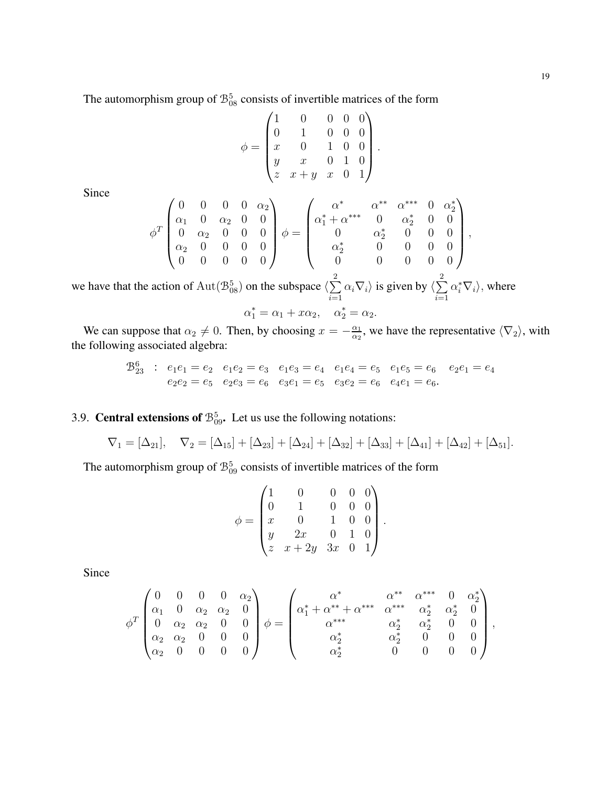,

The automorphism group of  $\mathcal{B}_{08}^5$  consists of invertible matrices of the form

$$
\phi = \begin{pmatrix} 1 & 0 & 0 & 0 & 0 \\ 0 & 1 & 0 & 0 & 0 \\ x & 0 & 1 & 0 & 0 \\ y & x & 0 & 1 & 0 \\ z & x + y & x & 0 & 1 \end{pmatrix}.
$$

Since

$$
\phi^T \begin{pmatrix} 0 & 0 & 0 & \alpha_2 \\ \alpha_1 & 0 & \alpha_2 & 0 & 0 \\ 0 & \alpha_2 & 0 & 0 & 0 \\ \alpha_2 & 0 & 0 & 0 & 0 \\ 0 & 0 & 0 & 0 & 0 \end{pmatrix} \phi = \begin{pmatrix} \alpha^* & \alpha^{**} & \alpha^{***} & 0 & \alpha_2^* \\ \alpha_1^* + \alpha^{***} & 0 & \alpha_2^* & 0 & 0 \\ 0 & \alpha_2^* & 0 & 0 & 0 \\ \alpha_2^* & 0 & 0 & 0 & 0 \\ 0 & 0 & 0 & 0 & 0 \end{pmatrix}
$$

we have that the action of  $\text{Aut}(\mathcal{B}^5_{08})$  on the subspace  $\langle \sum_{n=1}^{\infty}$ 2  $i=1$  $\alpha_i \nabla_i$  is given by  $\langle \sum \rangle$ 2  $i=1$  $\alpha_i^* \nabla_i$ , where  $\alpha_1^* = \alpha_1 + x\alpha_2, \quad \alpha_2^* = \alpha_2.$ 

We can suppose that  $\alpha_2 \neq 0$ . Then, by choosing  $x = -\frac{\alpha_1}{\alpha_2}$  $\frac{\alpha_1}{\alpha_2}$ , we have the representative  $\langle \nabla_2 \rangle$ , with the following associated algebra:

$$
\mathcal{B}_{23}^6 : e_1e_1 = e_2 \quad e_1e_2 = e_3 \quad e_1e_3 = e_4 \quad e_1e_4 = e_5 \quad e_1e_5 = e_6 \quad e_2e_1 = e_4
$$
\n
$$
e_2e_2 = e_5 \quad e_2e_3 = e_6 \quad e_3e_1 = e_5 \quad e_3e_2 = e_6 \quad e_4e_1 = e_6.
$$

## 3.9. **Central extensions of**  $\mathcal{B}_{09}^5$ . Let us use the following notations:

$$
\nabla_1 = [\Delta_{21}], \quad \nabla_2 = [\Delta_{15}] + [\Delta_{23}] + [\Delta_{24}] + [\Delta_{32}] + [\Delta_{33}] + [\Delta_{41}] + [\Delta_{42}] + [\Delta_{51}].
$$

The automorphism group of  $\mathcal{B}_{09}^5$  consists of invertible matrices of the form

$$
\phi = \begin{pmatrix}\n1 & 0 & 0 & 0 & 0 \\
0 & 1 & 0 & 0 & 0 \\
x & 0 & 1 & 0 & 0 \\
y & 2x & 0 & 1 & 0 \\
z & x + 2y & 3x & 0 & 1\n\end{pmatrix}
$$

.

Since

$$
\phi^T \begin{pmatrix} 0 & 0 & 0 & \alpha_2 \\ \alpha_1 & 0 & \alpha_2 & \alpha_2 & 0 \\ 0 & \alpha_2 & \alpha_2 & 0 & 0 \\ \alpha_2 & \alpha_2 & 0 & 0 & 0 \\ \alpha_2 & 0 & 0 & 0 & 0 \end{pmatrix} \phi = \begin{pmatrix} \alpha^* & \alpha^{**} & \alpha^{***} & 0 & \alpha_2^* \\ \alpha_1^* + \alpha^{**} + \alpha^{***} & \alpha^{***} & \alpha_2^* & \alpha_2^* & 0 \\ \alpha^{***} & \alpha_2^* & \alpha_2^* & 0 & 0 \\ \alpha_2^* & \alpha_2^* & 0 & 0 & 0 \end{pmatrix},
$$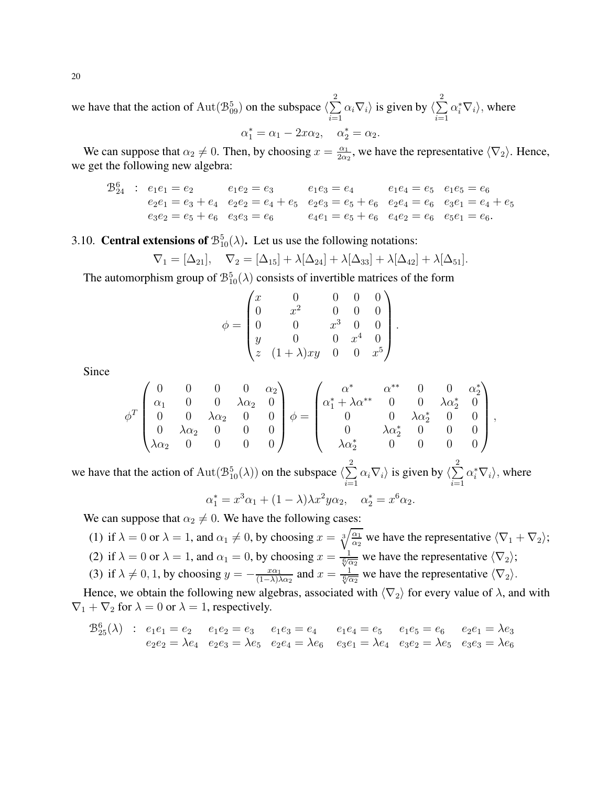we have that the action of  $\text{Aut}(\mathcal{B}_{09}^5)$  on the subspace  $\langle \sum_{n=1}^{\infty}$ 2  $i=1$  $\alpha_i \nabla_i$  is given by  $\langle \sum \rangle$ 2  $i=1$  $\alpha_i^* \nabla_i$ , where

$$
\alpha_1^* = \alpha_1 - 2x\alpha_2, \quad \alpha_2^* = \alpha_2.
$$

We can suppose that  $\alpha_2 \neq 0$ . Then, by choosing  $x = \frac{\alpha_1}{2\alpha_1}$  $\frac{\alpha_1}{2\alpha_2}$ , we have the representative  $\langle \nabla_2 \rangle$ . Hence, we get the following new algebra:

$$
\mathcal{B}_{24}^{6} : e_1e_1 = e_2 \t e_1e_2 = e_3 \t e_1e_3 = e_4 \t e_1e_4 = e_5 \t e_1e_5 = e_6
$$
  
\n
$$
e_2e_1 = e_3 + e_4 \t e_2e_2 = e_4 + e_5 \t e_2e_3 = e_5 + e_6 \t e_2e_4 = e_6 \t e_3e_1 = e_4 + e_5
$$
  
\n
$$
e_3e_2 = e_5 + e_6 \t e_3e_3 = e_6 \t e_4e_1 = e_5 + e_6 \t e_4e_2 = e_6 \t e_5e_1 = e_6.
$$

## 3.10. **Central extensions of**  $\mathcal{B}_{10}^{5}(\lambda)$ . Let us use the following notations:

$$
\nabla_1 = [\Delta_{21}], \quad \nabla_2 = [\Delta_{15}] + \lambda[\Delta_{24}] + \lambda[\Delta_{33}] + \lambda[\Delta_{42}] + \lambda[\Delta_{51}].
$$

The automorphism group of  $\mathcal{B}_{10}^{5}(\lambda)$  consists of invertible matrices of the form

$$
\phi = \begin{pmatrix}\nx & 0 & 0 & 0 & 0 \\
0 & x^2 & 0 & 0 & 0 \\
0 & 0 & x^3 & 0 & 0 \\
y & 0 & 0 & x^4 & 0 \\
z & (1+\lambda)xy & 0 & 0 & x^5\n\end{pmatrix}
$$

.

Since

$$
\phi^T \begin{pmatrix} 0 & 0 & 0 & 0 & \alpha_2 \\ \alpha_1 & 0 & 0 & \lambda \alpha_2 & 0 \\ 0 & 0 & \lambda \alpha_2 & 0 & 0 \\ 0 & \lambda \alpha_2 & 0 & 0 & 0 \\ \lambda \alpha_2 & 0 & 0 & 0 & 0 \end{pmatrix} \phi = \begin{pmatrix} \alpha^* & \alpha^{**} & 0 & 0 & \alpha_2^* \\ \alpha_1^* + \lambda \alpha^{**} & 0 & 0 & \lambda \alpha_2^* & 0 \\ 0 & 0 & \lambda \alpha_2^* & 0 & 0 \\ 0 & \lambda \alpha_2^* & 0 & 0 & 0 \end{pmatrix},
$$

we have that the action of  $\text{Aut}(\mathcal{B}^5_{10}(\lambda))$  on the subspace  $\langle \sum_{n=1}^{\infty}$ 2  $i=1$  $\alpha_i \nabla_i$  is given by  $\langle \sum \rangle$ 2  $i=1$  $\alpha_i^* \nabla_i$ , where

$$
\alpha_1^* = x^3 \alpha_1 + (1 - \lambda)\lambda x^2 y \alpha_2, \quad \alpha_2^* = x^6 \alpha_2.
$$

We can suppose that  $\alpha_2 \neq 0$ . We have the following cases:

- (1) if  $\lambda = 0$  or  $\lambda = 1$ , and  $\alpha_1 \neq 0$ , by choosing  $x = \sqrt[3]{\frac{\alpha_1}{\alpha_2}}$  we have the representative  $\langle \nabla_1 + \nabla_2 \rangle$ ;
- (2) if  $\lambda = 0$  or  $\lambda = 1$ , and  $\alpha_1 = 0$ , by choosing  $x = \frac{1}{\sqrt[6]{\alpha_2}}$  we have the representative  $\langle \nabla_2 \rangle$ ;

(3) if 
$$
\lambda \neq 0, 1
$$
, by choosing  $y = -\frac{x\alpha_1}{(1-\lambda)\lambda\alpha_2}$  and  $x = \frac{1}{\sqrt[6]{\alpha_2}}$  we have the representative  $\langle \nabla_2 \rangle$ .

Hence, we obtain the following new algebras, associated with  $\langle \nabla_2 \rangle$  for every value of  $\lambda$ , and with  $\nabla_1 + \nabla_2$  for  $\lambda = 0$  or  $\lambda = 1$ , respectively.

$$
\mathcal{B}_{25}^{6}(\lambda) : e_1e_1 = e_2 \quad e_1e_2 = e_3 \quad e_1e_3 = e_4 \quad e_1e_4 = e_5 \quad e_1e_5 = e_6 \quad e_2e_1 = \lambda e_3
$$
  

$$
e_2e_2 = \lambda e_4 \quad e_2e_3 = \lambda e_5 \quad e_2e_4 = \lambda e_6 \quad e_3e_1 = \lambda e_4 \quad e_3e_2 = \lambda e_5 \quad e_3e_3 = \lambda e_6
$$

20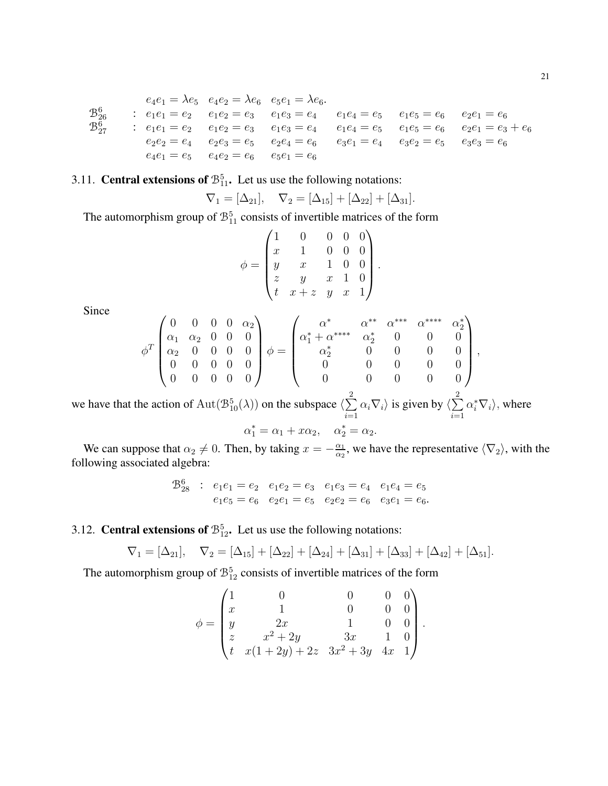$$
e_4e_1 = \lambda e_5 \quad e_4e_2 = \lambda e_6 \quad e_5e_1 = \lambda e_6.
$$
\n
$$
B_{26}^6 \qquad : \begin{array}{lcl} e_1e_1 = e_2 \quad e_1e_2 = e_3 \quad e_1e_3 = e_4 \quad e_1e_4 = e_5 \quad e_1e_5 = e_6 \quad e_2e_1 = e_6 \end{array}
$$
\n
$$
B_{27}^6 \qquad : \begin{array}{lcl} e_1e_1 = e_2 \quad e_1e_2 = e_3 \quad e_1e_3 = e_4 \quad e_1e_4 = e_5 \quad e_1e_5 = e_6 \quad e_2e_1 = e_3 + e_6 \end{array}
$$
\n
$$
e_2e_2 = e_4 \quad e_2e_3 = e_5 \quad e_2e_4 = e_6 \quad e_3e_1 = e_4 \quad e_3e_2 = e_5 \quad e_3e_3 = e_6 \end{array}
$$
\n
$$
e_4e_1 = e_5 \quad e_4e_2 = e_6 \quad e_5e_1 = e_6
$$

#### 3.11. **Central extensions of**  $\mathcal{B}_{11}^5$ . Let us use the following notations:

$$
\nabla_1 = [\Delta_{21}], \quad \nabla_2 = [\Delta_{15}] + [\Delta_{22}] + [\Delta_{31}].
$$

The automorphism group of  $\mathcal{B}_{11}^5$  consists of invertible matrices of the form

$$
\phi = \begin{pmatrix}\n1 & 0 & 0 & 0 & 0 \\
x & 1 & 0 & 0 & 0 \\
y & x & 1 & 0 & 0 \\
z & y & x & 1 & 0 \\
t & x + z & y & x & 1\n\end{pmatrix}
$$

Since

$$
\phi^T \begin{pmatrix} 0 & 0 & 0 & 0 & \alpha_2 \\ \alpha_1 & \alpha_2 & 0 & 0 & 0 \\ \alpha_2 & 0 & 0 & 0 & 0 \\ 0 & 0 & 0 & 0 & 0 \\ 0 & 0 & 0 & 0 & 0 \end{pmatrix} \phi = \begin{pmatrix} \alpha^* & \alpha^{**} & \alpha^{***} & \alpha^{***} & \alpha_2^{*} \\ \alpha_1^* + \alpha^{***} & \alpha_2^* & 0 & 0 & 0 \\ \alpha_2^* & 0 & 0 & 0 & 0 & 0 \\ 0 & 0 & 0 & 0 & 0 & 0 \\ 0 & 0 & 0 & 0 & 0 & 0 \end{pmatrix},
$$

we have that the action of  $\text{Aut}(\mathcal{B}_{10}^5(\lambda))$  on the subspace  $\langle \sum_{i=1}^2 \alpha_i \nabla_i \rangle$  is given by  $\langle \sum_{i=1}^2 \alpha_i^* \nabla_i \rangle$ , where

$$
\alpha_1^* = \alpha_1 + x\alpha_2, \quad \alpha_2^* = \alpha_2
$$

We can suppose that  $\alpha_2 \neq 0$ . Then, by taking  $x = -\frac{\alpha_1}{\alpha_2}$ , we have the representative  $\langle \nabla_2 \rangle$ , with the following associated algebra:

$$
\begin{array}{cccc}\n\mathcal{B}_{28}^6 & : & e_1e_1 = e_2 & e_1e_2 = e_3 & e_1e_3 = e_4 & e_1e_4 = e_5 \\
& e_1e_5 = e_6 & e_2e_1 = e_5 & e_2e_2 = e_6 & e_3e_1 = e_6\n\end{array}
$$

3.12. **Central extensions of**  $\mathcal{B}_{12}^5$ . Let us use the following notations:

$$
\nabla_1 = [\Delta_{21}], \quad \nabla_2 = [\Delta_{15}] + [\Delta_{22}] + [\Delta_{24}] + [\Delta_{31}] + [\Delta_{33}] + [\Delta_{42}] + [\Delta_{51}].
$$

The automorphism group of  $\mathcal{B}_{12}^5$  consists of invertible matrices of the form

$$
\phi = \begin{pmatrix}\n1 & 0 & 0 & 0 & 0 \\
x & 1 & 0 & 0 & 0 \\
y & 2x & 1 & 0 & 0 \\
z & x^2 + 2y & 3x & 1 & 0 \\
t & x(1 + 2y) + 2z & 3x^2 + 3y & 4x & 1\n\end{pmatrix}.
$$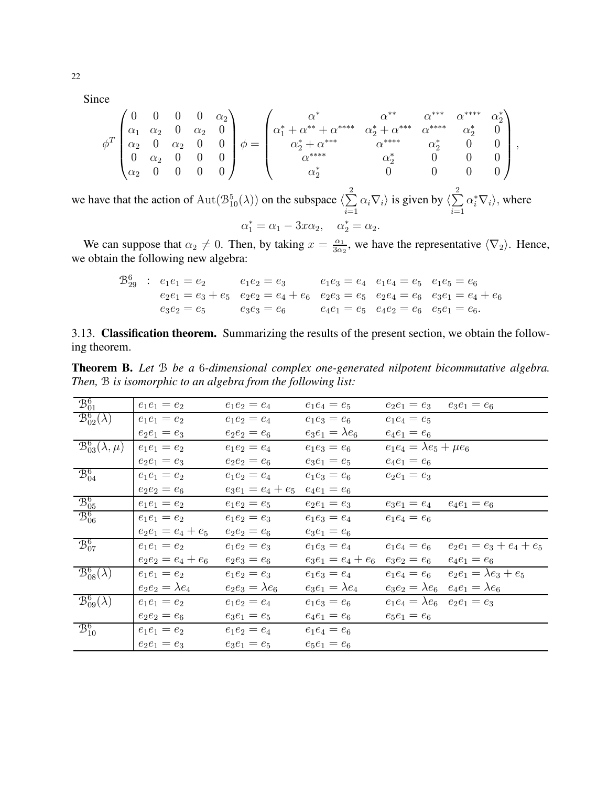Since

$$
\phi^T \begin{pmatrix} 0 & 0 & 0 & \alpha_2 \\ \alpha_1 & \alpha_2 & 0 & \alpha_2 & 0 \\ \alpha_2 & 0 & \alpha_2 & 0 & 0 \\ 0 & \alpha_2 & 0 & 0 & 0 \\ \alpha_2 & 0 & 0 & 0 & 0 \end{pmatrix} \phi = \begin{pmatrix} \alpha^* & \alpha^{**} & \alpha^{***} & \alpha^{***} & \alpha^{***} & \alpha_2^{**} \\ \alpha_1^* + \alpha^{**} + \alpha^{***} & \alpha_2^* + \alpha^{***} & \alpha_2^* & 0 \\ \alpha_2^* + \alpha^{***} & \alpha_2^* & \alpha_2^* & 0 & 0 \\ \alpha_2^* & \alpha_2^* & 0 & 0 & 0 \\ \alpha_2^* & 0 & 0 & 0 & 0 \end{pmatrix}
$$

we have that the action of Aut $(\mathcal{B}_{10}^5(\lambda))$  on the subspace  $\langle \sum_{i=1}^2 \alpha_i \nabla_i \rangle$  is given by  $\langle \sum_{i=1}^2 \alpha_i^* \nabla_i \rangle$ , where

$$
\alpha_1^* = \alpha_1 - 3x\alpha_2, \quad \alpha_2^* = \alpha_2
$$

We can suppose that  $\alpha_2 \neq 0$ . Then, by taking  $x = \frac{\alpha_1}{3\alpha_2}$ , we have the representative  $\langle \nabla_2 \rangle$ . Hence, we obtain the following new algebra:

$$
\begin{array}{ccccccccc}\n\mathfrak{B}^6_{29} & : & e_1e_1 = e_2 & e_1e_2 = e_3 & e_1e_3 = e_4 & e_1e_4 = e_5 & e_1e_5 = e_6 \\
& e_2e_1 = e_3 + e_5 & e_2e_2 = e_4 + e_6 & e_2e_3 = e_5 & e_2e_4 = e_6 & e_3e_1 = e_4 + e_6 \\
& e_3e_2 = e_5 & e_3e_3 = e_6 & e_4e_1 = e_5 & e_4e_2 = e_6 & e_5e_1 = e_6.\n\end{array}
$$

3.13. Classification theorem. Summarizing the results of the present section, we obtain the following theorem.

Theorem B. Let B be a 6-dimensional complex one-generated nilpotent bicommutative algebra. Then, B is isomorphic to an algebra from the following list:

| $\mathcal{B}_{01}^6$                            | $e_1e_1=e_2$         | $e_1e_2=e_4$         | $e_1e_4 = e_5$       | $e_2e_1 = e_3$ $e_3e_1 = e_6$         |                                               |
|-------------------------------------------------|----------------------|----------------------|----------------------|---------------------------------------|-----------------------------------------------|
| $\mathcal{B}^6_{02}(\lambda)$                   | $e_1e_1 = e_2$       | $e_1e_2 = e_4$       | $e_1e_3 = e_6$       | $e_1e_4 = e_5$                        |                                               |
|                                                 | $e_2e_1 = e_3$       | $e_2e_2 = e_6$       | $e_3e_1=\lambda e_6$ | $e_4e_1 = e_6$                        |                                               |
| $\mathcal{B}_{03}^6(\lambda,\mu)$               | $e_1e_1 = e_2$       | $e_1e_2 = e_4$       | $e_1e_3=e_6$         | $e_1e_4 = \lambda e_5 + \mu e_6$      |                                               |
|                                                 | $e_2e_1 = e_3$       | $e_2e_2 = e_6$       | $e_3e_1 = e_5$       | $e_4e_1 = e_6$                        |                                               |
| $\mathcal{B}_{04}^6$                            | $e_1e_1 = e_2$       | $e_1e_2 = e_4$       | $e_1e_3 = e_6$       | $e_2e_1 = e_3$                        |                                               |
|                                                 | $e_2e_2 = e_6$       | $e_3e_1 = e_4 + e_5$ | $e_4e_1 = e_6$       |                                       |                                               |
| $\frac{\mathcal{B}_{05}^6}{\mathcal{B}_{06}^6}$ | $e_1e_1 = e_2$       | $e_1e_2 = e_5$       | $e_2e_1 = e_3$       | $e_3e_1 = e_4$ $e_4e_1 = e_6$         |                                               |
|                                                 | $e_1e_1 = e_2$       | $e_1e_2 = e_3$       | $e_1e_3 = e_4$       | $e_1e_4 = e_6$                        |                                               |
|                                                 | $e_2e_1 = e_4 + e_5$ | $e_2e_2 = e_6$       | $e_3e_1 = e_6$       |                                       |                                               |
| $\mathcal{B}^6_{07}$                            | $e_1e_1 = e_2$       | $e_1e_2 = e_3$       | $e_1e_3 = e_4$       | $e_1e_4 = e_6$                        | $e_2e_1 = e_3 + e_4 + e_5$                    |
|                                                 | $e_2e_2 = e_4 + e_6$ | $e_2e_3 = e_6$       | $e_3e_1 = e_4 + e_6$ | $e_3e_2 = e_6$                        | $e_4e_1 = e_6$                                |
| $\overline{\mathcal{B}^6_{08}}(\lambda)$        | $e_1e_1 = e_2$       | $e_1e_2 = e_3$       | $e_1e_3 = e_4$       | $e_1e_4 = e_6$                        | $e_2e_1 = \lambda e_3 + e_5$                  |
|                                                 | $e_2e_2=\lambda e_4$ | $e_2e_3=\lambda e_6$ | $e_3e_1=\lambda e_4$ |                                       | $e_3e_2 = \lambda e_6$ $e_4e_1 = \lambda e_6$ |
| $\mathcal{B}_{09}^6(\lambda)$                   | $e_1e_1 = e_2$       | $e_1e_2 = e_4$       | $e_1e_3 = e_6$       | $e_1e_4 = \lambda e_6$ $e_2e_1 = e_3$ |                                               |
|                                                 | $e_2e_2 = e_6$       | $e_3e_1 = e_5$       | $e_4e_1 = e_6$       | $e_5e_1=e_6$                          |                                               |
| $\mathcal{B}_{10}^6$                            | $e_1e_1 = e_2$       | $e_1e_2 = e_4$       | $e_1e_4 = e_6$       |                                       |                                               |
|                                                 | $e_2e_1=e_3$         | $e_3e_1 = e_5$       | $e_5e_1 = e_6$       |                                       |                                               |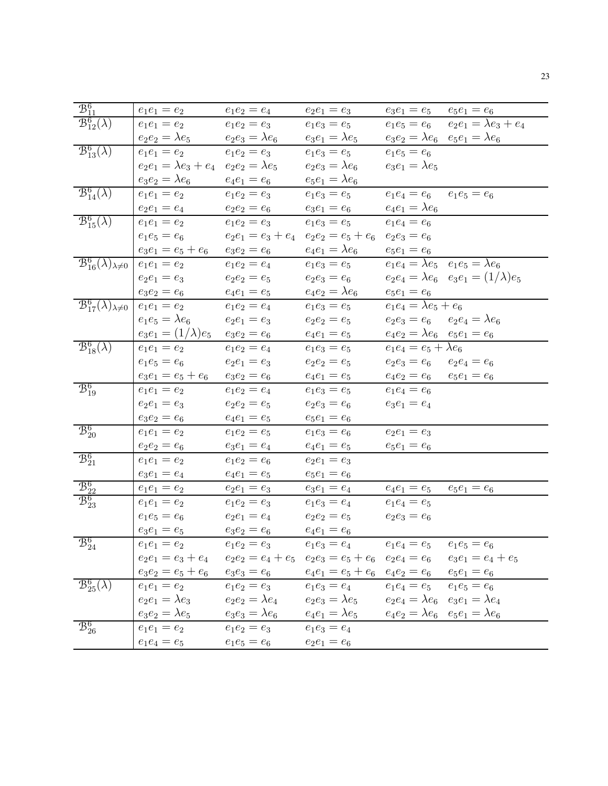| $\mathcal{B}_{11}^6$                                      | $e_1e_1 = e_2$                                      | $e_1e_2 = e_4$                | $e_2e_1 = e_3$                      | $e_3e_1 = e_5$<br>$e_5e_1 = e_6$                                                                                   |
|-----------------------------------------------------------|-----------------------------------------------------|-------------------------------|-------------------------------------|--------------------------------------------------------------------------------------------------------------------|
| $\mathcal{B}_{12}^6(\lambda)$                             | $e_1e_1 = e_2$                                      | $e_1e_2 = e_3$                | $e_1e_3 = e_5$                      | $e_2e_1 = \lambda e_3 + e_4$<br>$e_1e_5 = e_6$                                                                     |
|                                                           | $e_2e_2=\lambda e_5$                                | $e_2e_3=\lambda e_6$          | $e_3e_1=\lambda e_5$                | $e_3e_2 = \lambda e_6$ $e_5e_1 = \lambda e_6$                                                                      |
| $\mathcal{B}_{13}^6(\lambda)$                             | $e_1e_1 = e_2$                                      | $e_1e_2 = e_3$                | $e_1e_3 = e_5$                      | $e_1e_5 = e_6$                                                                                                     |
|                                                           | $e_2e_1 = \lambda e_3 + e_4$ $e_2e_2 = \lambda e_5$ |                               | $e_2e_3=\lambda e_6$                | $e_3e_1=\lambda e_5$                                                                                               |
|                                                           | $e_3e_2=\lambda e_6$                                | $e_4e_1=e_6$                  | $e_5e_1=\lambda e_6$                |                                                                                                                    |
| $\mathcal{B}^6_{14}(\lambda)$                             | $e_1e_1 = e_2$                                      | $e_1e_2 = e_3$                | $e_1e_3 = e_5$                      | $e_1e_4 = e_6$ $e_1e_5 = e_6$                                                                                      |
|                                                           | $e_2e_1 = e_4$                                      | $e_2e_2 = e_6$                | $e_3e_1 = e_6$                      | $e_4e_1 = \lambda e_6$                                                                                             |
| $\mathcal{B}^6_{15}(\lambda)$                             | $e_1e_1 = e_2$                                      | $e_1e_2 = e_3$                | $e_1e_3 = e_5$                      | $e_1e_4 = e_6$                                                                                                     |
|                                                           | $e_1e_5 = e_6$                                      | $e_2e_1 = e_3 + e_4$          | $e_2e_2 = e_5 + e_6$ $e_2e_3 = e_6$ |                                                                                                                    |
|                                                           | $e_3e_1 = e_5 + e_6$                                | $e_3e_2 = e_6$                | $e_4e_1 = \lambda e_6$              | $e_5e_1 = e_6$                                                                                                     |
| $\overline{{\mathcal B}^6_{16}(\lambda)_{\lambda\neq 0}}$ | $e_1e_1 = e_2$                                      | $e_1e_2 = e_4$                | $e_1e_3 = e_5$                      | $e_1e_4 = \lambda e_5$ $e_1e_5 = \lambda e_6$                                                                      |
|                                                           | $e_2e_1 = e_3$                                      | $e_2e_2 = e_5$                | $e_2e_3 = e_6$                      | $e_2e_4 = \lambda e_6$ $e_3e_1 = (1/\lambda)e_5$                                                                   |
|                                                           | $e_3e_2 = e_6$                                      | $e_4e_1 = e_5$                | $e_4e_2=\lambda e_6$                | $e_5e_1 = e_6$                                                                                                     |
| $\overline{\mathcal{B}}_{17}^6(\lambda)_{\lambda\neq 0}$  | $e_1e_1 = e_2$                                      | $e_1e_2 = e_4$                | $e_1e_3 = e_5$                      | $e_1e_4 = \lambda e_5 + e_6$                                                                                       |
|                                                           | $e_1e_5 = \lambda e_6$                              | $e_2e_1 = e_3$                | $e_2e_2 = e_5$                      | $e_2e_3 = e_6$ $e_2e_4 = \lambda e_6$                                                                              |
|                                                           | $e_3e_1=(1/\lambda)e_5$                             | $e_3e_2 = e_6$                | $e_4e_1 = e_5$                      | $e_4e_2 = \lambda e_6$ $e_5e_1 = e_6$                                                                              |
| $\mathcal{B}^6_{18}(\lambda)$                             | $e_1e_1 = e_2$                                      | $e_1e_2 = e_4$                | $e_1e_3 = e_5$                      | $e_1e_4 = e_5 + \lambda e_6$                                                                                       |
|                                                           | $e_1e_5 = e_6$                                      | $e_2e_1 = e_3$                | $e_2e_2 = e_5$                      | $e_2e_3 = e_6$ $e_2e_4 = e_6$                                                                                      |
|                                                           | $e_3e_1 = e_5 + e_6$                                | $e_3e_2 = e_6$                | $e_4e_1 = e_5$                      | $e_4e_2 = e_6$ $e_5e_1 = e_6$                                                                                      |
| $\mathcal{B}_{19}^6$                                      | $e_1e_1 = e_2$                                      | $e_1e_2 = e_4$                | $e_1e_3 = e_5$                      | $e_1e_4 = e_6$                                                                                                     |
|                                                           | $e_2e_1 = e_3$                                      | $e_2e_2 = e_5$                | $e_2e_3=e_6$                        | $e_3e_1 = e_4$                                                                                                     |
|                                                           | $e_3e_2 = e_6$                                      | $e_4e_1 = e_5$                | $e_5e_1 = e_6$                      |                                                                                                                    |
| $\mathcal{B}^6_{20}$                                      | $e_1e_1 = e_2$                                      | $e_1e_2 = e_5$                | $e_1e_3 = e_6$                      | $e_2e_1 = e_3$                                                                                                     |
|                                                           | $e_2e_2 = e_6$                                      | $e_3e_1 = e_4$                | $e_4e_1 = e_5$                      | $e_5e_1 = e_6$                                                                                                     |
| $\mathcal{B}_{21}^6$                                      | $e_1e_1 = e_2$                                      | $e_1e_2 = e_6$                | $e_2e_1=e_3$                        |                                                                                                                    |
|                                                           | $e_3e_1 = e_4$                                      | $e_4e_1 = e_5$                | $e_5e_1 = e_6$                      |                                                                                                                    |
| $\mathcal{B}_{22}^6$                                      | $e_1e_1 = e_2$                                      | $e_2e_1 = e_3$                | $e_3e_1 = e_4$                      | $e_4e_1 = e_5$<br>$e_5e_1 = e_6$                                                                                   |
| $\mathcal{B}_{23}^6$                                      | $e_1e_1 = e_2$                                      | $e_1e_2 = e_3$                | $e_1e_3 = e_4$                      | $e_1e_4 = e_5$                                                                                                     |
|                                                           | $e_1e_5 = e_6$                                      | $e_2e_1 = e_4$                | $e_2e_2 = e_5$                      | $e_2e_3=e_6$                                                                                                       |
|                                                           | $e_3e_1=e_5$                                        | $e_3e_2 = e_6$                | $e_4e_1 = e_6$                      |                                                                                                                    |
| $\mathcal{B}_{24}^6$                                      | $e_1e_1 = e_2$ $e_1e_2 = e_3$                       |                               |                                     | $e_1e_3 = e_4$ $e_1e_4 = e_5$ $e_1e_5 = e_6$                                                                       |
|                                                           |                                                     |                               |                                     | $e_2e_1 = e_3 + e_4$ $e_2e_2 = e_4 + e_5$ $e_2e_3 = e_5 + e_6$ $e_2e_4 = e_6$ $e_3e_1 = e_4 + e_5$                 |
|                                                           |                                                     |                               |                                     | $e_3e_2 = e_5 + e_6$ $e_3e_3 = e_6$ $e_4e_1 = e_5 + e_6$ $e_4e_2 = e_6$ $e_5e_1 = e_6$                             |
| $\mathcal{B}_{25}^6(\lambda)$                             | $e_1e_1 = e_2$                                      |                               | $e_1e_2 = e_3$ $e_1e_3 = e_4$       | $e_1e_4 = e_5$ $e_1e_5 = e_6$                                                                                      |
|                                                           | $e_2e_1 = \lambda e_3$                              |                               |                                     | $e_2e_2 = \lambda e_4$ $e_2e_3 = \lambda e_5$ $e_2e_4 = \lambda e_6$ $e_3e_1 = \lambda e_4$                        |
|                                                           |                                                     |                               |                                     | $e_3e_2 = \lambda e_5$ $e_3e_3 = \lambda e_6$ $e_4e_1 = \lambda e_5$ $e_4e_2 = \lambda e_6$ $e_5e_1 = \lambda e_6$ |
| $\mathcal{B}^6_{26}$                                      | $e_1e_1 = e_2$                                      | $e_1e_2 = e_3$ $e_1e_3 = e_4$ |                                     |                                                                                                                    |
|                                                           | $e_1e_4 = e_5$                                      | $e_1e_5 = e_6$                | $e_2e_1=e_6$                        |                                                                                                                    |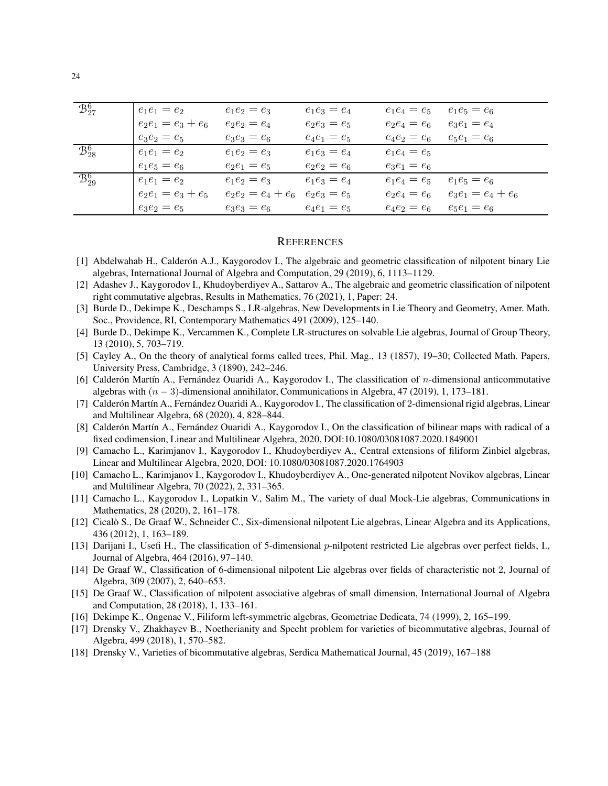| $\overline{B_{27}^6}$           | $e_1e_1 = e_2$       | $e_1e_2=e_3$         | $e_1e_3=e_4$   | $e_1e_4=e_5$   | $e_1e_5=e_6$         |
|---------------------------------|----------------------|----------------------|----------------|----------------|----------------------|
|                                 | $e_2e_1 = e_3 + e_6$ | $e_2e_2 = e_4$       | $e_2e_3 = e_5$ | $e_2e_4=e_6$   | $e_3e_1 = e_4$       |
|                                 | $e_3e_2 = e_5$       | $e_3e_3=e_6$         | $e_4e_1 = e_5$ | $e_4e_2 = e_6$ | $e_5e_1 = e_6$       |
| $\overline{\mathcal{B}^6_{28}}$ | $e_1e_1 = e_2$       | $e_1e_2 = e_3$       | $e_1e_3 = e_4$ | $e_1e_4 = e_5$ |                      |
|                                 | $e_1e_5 = e_6$       | $e_2e_1 = e_5$       | $e_2e_2 = e_6$ | $e_3e_1 = e_6$ |                      |
| $\overline{\mathcal{B}_{29}^6}$ | $e_1e_1 = e_2$       | $e_1e_2 = e_3$       | $e_1e_3 = e_4$ | $e_1e_4 = e_5$ | $e_1e_5=e_6$         |
|                                 | $e_2e_1 = e_3 + e_5$ | $e_2e_2 = e_4 + e_6$ | $e_2e_3=e_5$   | $e_2e_4 = e_6$ | $e_3e_1 = e_4 + e_6$ |
|                                 | $e_3e_2 = e_5$       | $e_3e_3=e_6$         | $e_4e_1 = e_5$ | $e_4e_2 = e_6$ | $e_5e_1=e_6$         |

#### **REFERENCES**

- <span id="page-23-0"></span>[1] Abdelwahab H., Calderón A.J., Kaygorodov I., The algebraic and geometric classification of nilpotent binary Lie algebras, International Journal of Algebra and Computation, 29 (2019), 6, 1113-1129.
- <span id="page-23-5"></span>[2] Adashev J., Kaygorodov I., Khudoyberdiyev A., Sattarov A., The algebraic and geometric classification of nilpotent right commutative algebras, Results in Mathematics, 76 (2021), 1, Paper: 24.
- <span id="page-23-11"></span><span id="page-23-10"></span>[3] Burde D., Dekimpe K., Deschamps S., LR-algebras, New Developments in Lie Theory and Geometry, Amer. Math. Soc., Providence, RI, Contemporary Mathematics 491 (2009), 125-140.
- <span id="page-23-7"></span>[4] Burde D., Dekimpe K., Vercammen K., Complete LR-structures on solvable Lie algebras, Journal of Group Theory, 13 (2010), 5, 703-719.
- <span id="page-23-13"></span>[5] Cayley A., On the theory of analytical forms called trees, Phil. Mag., 13 (1857), 19–30; Collected Math. Papers, University Press, Cambridge, 3 (1890), 242–246.
- [6] Calderón Martín A., Fernández Ouaridi A., Kaygorodov I., The classification of *n*-dimensional anticommutative algebras with  $(n-3)$ -dimensional annihilator, Communications in Algebra, 47 (2019), 1, 173–181.
- <span id="page-23-1"></span>[7] Calderón Martín A., Fernández Ouaridi A., Kaygorodov I., The classification of 2-dimensional rigid algebras, Linear and Multilinear Algebra, 68 (2020), 4, 828-844.
- <span id="page-23-14"></span>[8] Calderón Martín A., Fernández Ouaridi A., Kaygorodov I., On the classification of bilinear maps with radical of a fixed codimension, Linear and Multilinear Algebra, 2020, DOI:10.1080/03081087.2020.1849001
- <span id="page-23-12"></span>[9] Camacho L., Karimjanov I., Kaygorodov I., Khudoyberdiyev A., Central extensions of filiform Zinbiel algebras, Linear and Multilinear Algebra, 2020, DOI: 10.1080/03081087.2020.1764903
- <span id="page-23-6"></span>[10] Camacho L., Karimjanov I., Kaygorodov I., Khudoyberdiyev A., One-generated nilpotent Novikov algebras, Linear and Multilinear Algebra, 70 (2022), 2, 331–365.
- <span id="page-23-17"></span>[11] Camacho L., Kaygorodov I., Lopatkin V., Salim M., The variety of dual Mock-Lie algebras, Communications in Mathematics, 28 (2020), 2, 161–178.
- <span id="page-23-2"></span>[12] Cicalò S., De Graaf W., Schneider C., Six-dimensional nilpotent Lie algebras, Linear Algebra and its Applications, 436 (2012), 1, 163-189.
- <span id="page-23-15"></span>[13] Darijani I., Usefi H., The classification of 5-dimensional p-nilpotent restricted Lie algebras over perfect fields, I., Journal of Algebra, 464 (2016), 97-140.
- <span id="page-23-16"></span>[14] De Graaf W., Classification of 6-dimensional nilpotent Lie algebras over fields of characteristic not 2, Journal of Algebra, 309 (2007), 2, 640–653.
- <span id="page-23-3"></span>[15] De Graaf W., Classification of nilpotent associative algebras of small dimension, International Journal of Algebra and Computation, 28 (2018), 1, 133-161.
- <span id="page-23-8"></span><span id="page-23-4"></span>[16] Dekimpe K., Ongenae V., Filiform left-symmetric algebras, Geometriae Dedicata, 74 (1999), 2, 165–199.
- [17] Drensky V., Zhakhayev B., Noetherianity and Specht problem for varieties of bicommutative algebras, Journal of Algebra, 499 (2018), 1, 570–582.
- <span id="page-23-9"></span>[18] Drensky V., Varieties of bicommutative algebras, Serdica Mathematical Journal, 45 (2019), 167–188